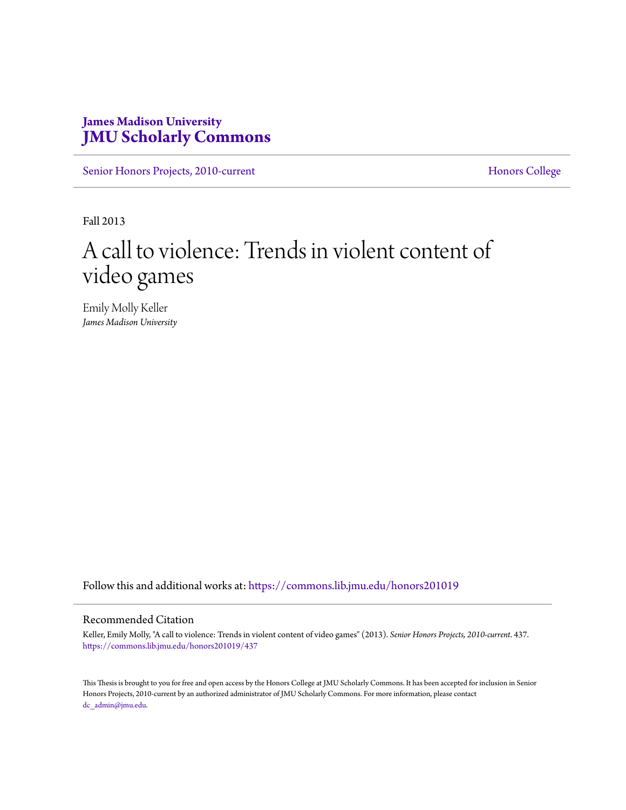# **James Madison University [JMU Scholarly Commons](https://commons.lib.jmu.edu/?utm_source=commons.lib.jmu.edu%2Fhonors201019%2F437&utm_medium=PDF&utm_campaign=PDFCoverPages)**

[Senior Honors Projects, 2010-current](https://commons.lib.jmu.edu/honors201019?utm_source=commons.lib.jmu.edu%2Fhonors201019%2F437&utm_medium=PDF&utm_campaign=PDFCoverPages) [Honors College](https://commons.lib.jmu.edu/honors?utm_source=commons.lib.jmu.edu%2Fhonors201019%2F437&utm_medium=PDF&utm_campaign=PDFCoverPages)

Fall 2013

# A call to violence: Trends in violent content of video games

Emily Molly Keller *James Madison University*

Follow this and additional works at: [https://commons.lib.jmu.edu/honors201019](https://commons.lib.jmu.edu/honors201019?utm_source=commons.lib.jmu.edu%2Fhonors201019%2F437&utm_medium=PDF&utm_campaign=PDFCoverPages)

#### Recommended Citation

Keller, Emily Molly, "A call to violence: Trends in violent content of video games" (2013). *Senior Honors Projects, 2010-current*. 437. [https://commons.lib.jmu.edu/honors201019/437](https://commons.lib.jmu.edu/honors201019/437?utm_source=commons.lib.jmu.edu%2Fhonors201019%2F437&utm_medium=PDF&utm_campaign=PDFCoverPages)

This Thesis is brought to you for free and open access by the Honors College at JMU Scholarly Commons. It has been accepted for inclusion in Senior Honors Projects, 2010-current by an authorized administrator of JMU Scholarly Commons. For more information, please contact [dc\\_admin@jmu.edu.](mailto:dc_admin@jmu.edu)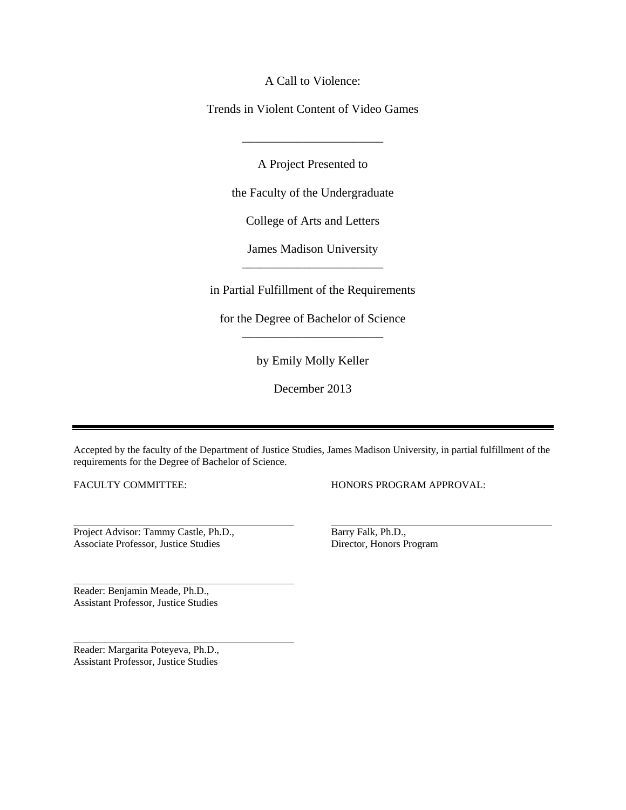A Call to Violence:

Trends in Violent Content of Video Games

A Project Presented to

\_\_\_\_\_\_\_\_\_\_\_\_\_\_\_\_\_\_\_\_\_\_\_

the Faculty of the Undergraduate

College of Arts and Letters

James Madison University \_\_\_\_\_\_\_\_\_\_\_\_\_\_\_\_\_\_\_\_\_\_\_

in Partial Fulfillment of the Requirements

for the Degree of Bachelor of Science \_\_\_\_\_\_\_\_\_\_\_\_\_\_\_\_\_\_\_\_\_\_\_

by Emily Molly Keller

December 2013

Accepted by the faculty of the Department of Justice Studies, James Madison University, in partial fulfillment of the requirements for the Degree of Bachelor of Science.

FACULTY COMMITTEE:

HONORS PROGRAM APPROVAL:

Project Advisor: Tammy Castle, Ph.D., Associate Professor, Justice Studies

Reader: Benjamin Meade, Ph.D., Assistant Professor, Justice Studies

Reader: Margarita Poteyeva, Ph.D., Assistant Professor, Justice Studies

Barry Falk, Ph.D., Director, Honors Program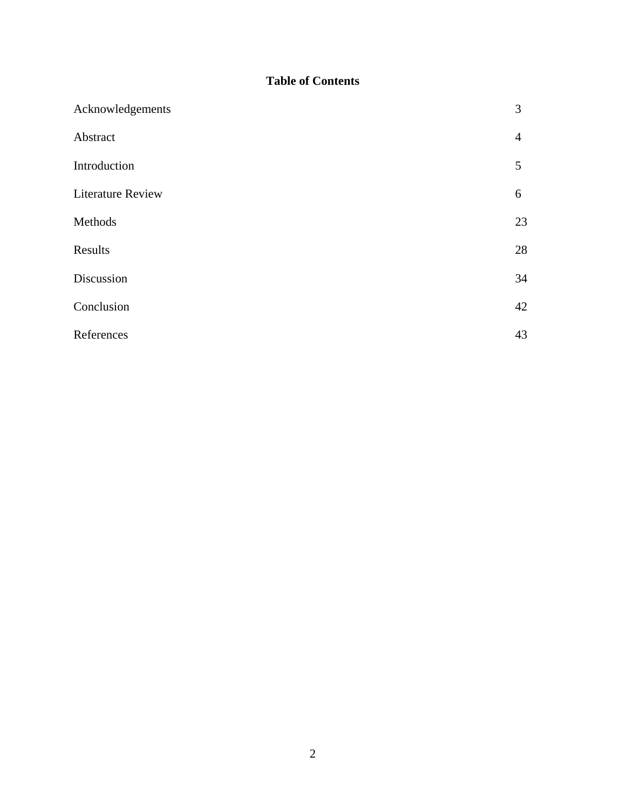# **Table of Contents**

| Acknowledgements         | 3              |
|--------------------------|----------------|
| Abstract                 | $\overline{4}$ |
| Introduction             | 5              |
| <b>Literature Review</b> | 6              |
| Methods                  | 23             |
| Results                  | 28             |
| Discussion               | 34             |
| Conclusion               | 42             |
| References               | 43             |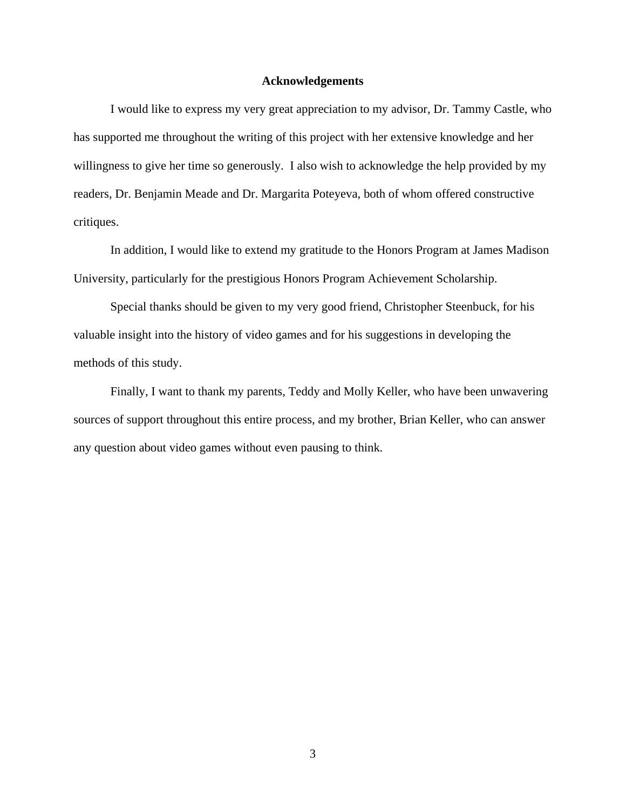#### **Acknowledgements**

I would like to express my very great appreciation to my advisor, Dr. Tammy Castle, who has supported me throughout the writing of this project with her extensive knowledge and her willingness to give her time so generously. I also wish to acknowledge the help provided by my readers, Dr. Benjamin Meade and Dr. Margarita Poteyeva, both of whom offered constructive critiques.

In addition, I would like to extend my gratitude to the Honors Program at James Madison University, particularly for the prestigious Honors Program Achievement Scholarship.

Special thanks should be given to my very good friend, Christopher Steenbuck, for his valuable insight into the history of video games and for his suggestions in developing the methods of this study.

Finally, I want to thank my parents, Teddy and Molly Keller, who have been unwavering sources of support throughout this entire process, and my brother, Brian Keller, who can answer any question about video games without even pausing to think.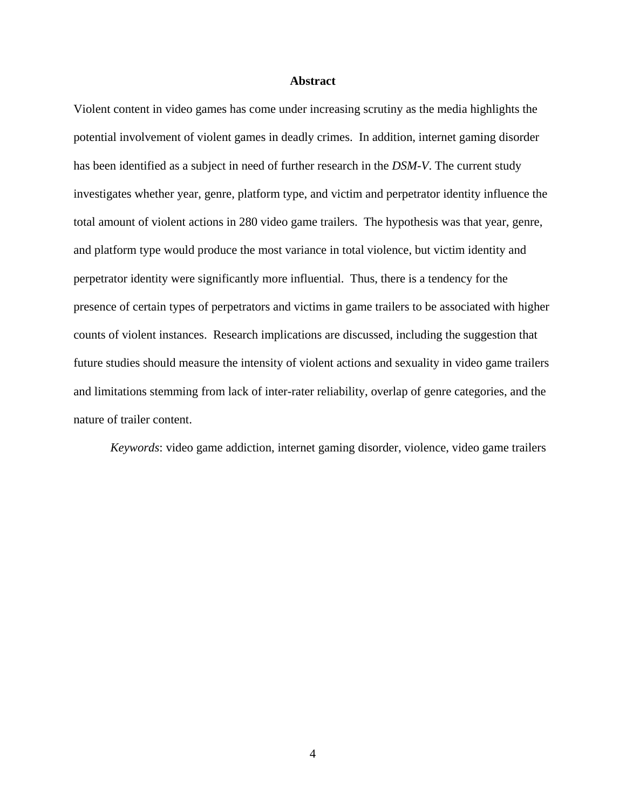#### **Abstract**

Violent content in video games has come under increasing scrutiny as the media highlights the potential involvement of violent games in deadly crimes. In addition, internet gaming disorder has been identified as a subject in need of further research in the *DSM-V*. The current study investigates whether year, genre, platform type, and victim and perpetrator identity influence the total amount of violent actions in 280 video game trailers. The hypothesis was that year, genre, and platform type would produce the most variance in total violence, but victim identity and perpetrator identity were significantly more influential. Thus, there is a tendency for the presence of certain types of perpetrators and victims in game trailers to be associated with higher counts of violent instances. Research implications are discussed, including the suggestion that future studies should measure the intensity of violent actions and sexuality in video game trailers and limitations stemming from lack of inter-rater reliability, overlap of genre categories, and the nature of trailer content.

*Keywords*: video game addiction, internet gaming disorder, violence, video game trailers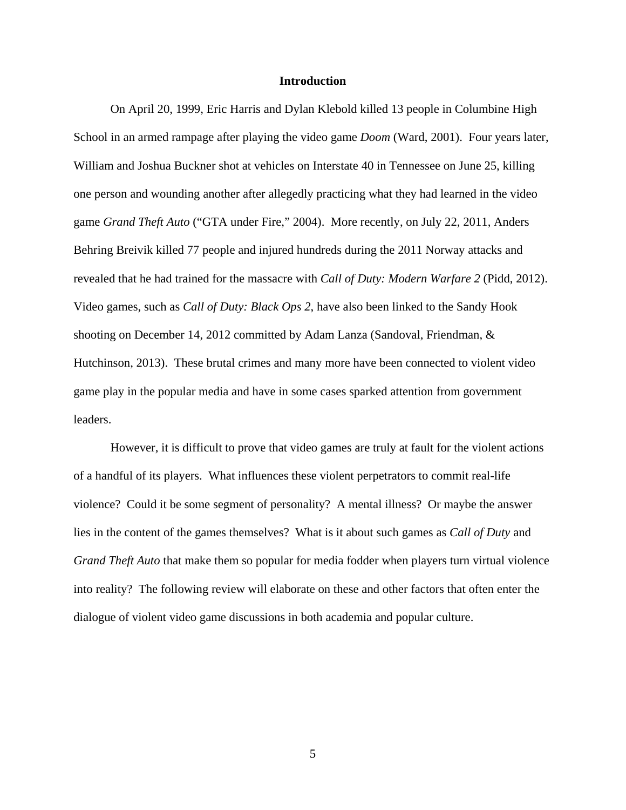#### **Introduction**

On April 20, 1999, Eric Harris and Dylan Klebold killed 13 people in Columbine High School in an armed rampage after playing the video game *Doom* (Ward, 2001). Four years later, William and Joshua Buckner shot at vehicles on Interstate 40 in Tennessee on June 25, killing one person and wounding another after allegedly practicing what they had learned in the video game *Grand Theft Auto* ("GTA under Fire," 2004). More recently, on July 22, 2011, Anders Behring Breivik killed 77 people and injured hundreds during the 2011 Norway attacks and revealed that he had trained for the massacre with *Call of Duty: Modern Warfare 2* (Pidd, 2012). Video games, such as *Call of Duty: Black Ops 2*, have also been linked to the Sandy Hook shooting on December 14, 2012 committed by Adam Lanza (Sandoval, Friendman, & Hutchinson, 2013). These brutal crimes and many more have been connected to violent video game play in the popular media and have in some cases sparked attention from government leaders.

However, it is difficult to prove that video games are truly at fault for the violent actions of a handful of its players. What influences these violent perpetrators to commit real-life violence? Could it be some segment of personality? A mental illness? Or maybe the answer lies in the content of the games themselves? What is it about such games as *Call of Duty* and *Grand Theft Auto* that make them so popular for media fodder when players turn virtual violence into reality? The following review will elaborate on these and other factors that often enter the dialogue of violent video game discussions in both academia and popular culture.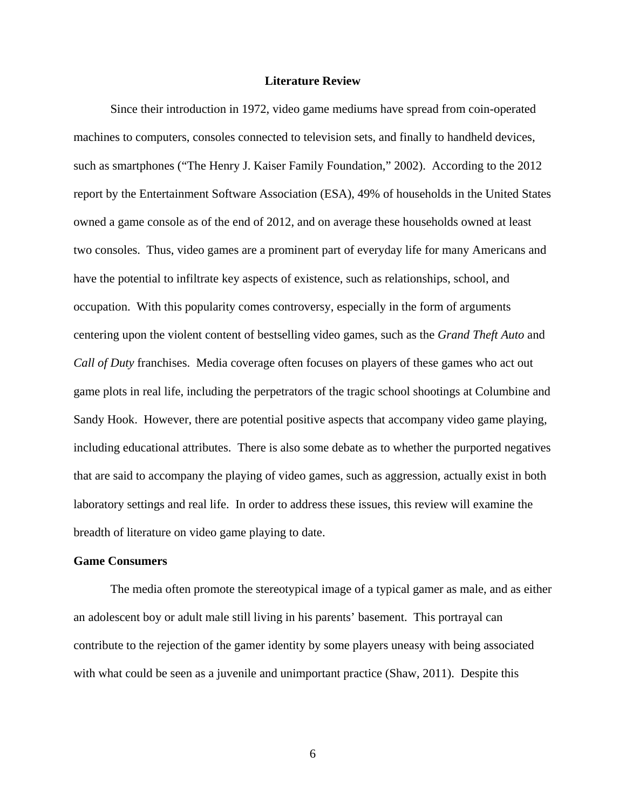#### **Literature Review**

Since their introduction in 1972, video game mediums have spread from coin-operated machines to computers, consoles connected to television sets, and finally to handheld devices, such as smartphones ("The Henry J. Kaiser Family Foundation," 2002). According to the 2012 report by the Entertainment Software Association (ESA), 49% of households in the United States owned a game console as of the end of 2012, and on average these households owned at least two consoles. Thus, video games are a prominent part of everyday life for many Americans and have the potential to infiltrate key aspects of existence, such as relationships, school, and occupation. With this popularity comes controversy, especially in the form of arguments centering upon the violent content of bestselling video games, such as the *Grand Theft Auto* and *Call of Duty* franchises. Media coverage often focuses on players of these games who act out game plots in real life, including the perpetrators of the tragic school shootings at Columbine and Sandy Hook. However, there are potential positive aspects that accompany video game playing, including educational attributes. There is also some debate as to whether the purported negatives that are said to accompany the playing of video games, such as aggression, actually exist in both laboratory settings and real life. In order to address these issues, this review will examine the breadth of literature on video game playing to date.

#### **Game Consumers**

The media often promote the stereotypical image of a typical gamer as male, and as either an adolescent boy or adult male still living in his parents' basement. This portrayal can contribute to the rejection of the gamer identity by some players uneasy with being associated with what could be seen as a juvenile and unimportant practice (Shaw, 2011). Despite this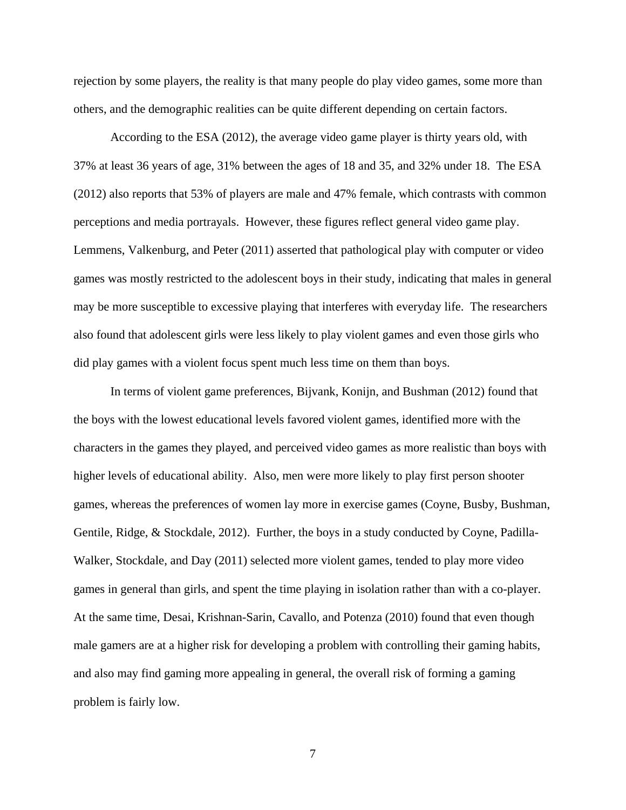rejection by some players, the reality is that many people do play video games, some more than others, and the demographic realities can be quite different depending on certain factors.

According to the ESA (2012), the average video game player is thirty years old, with 37% at least 36 years of age, 31% between the ages of 18 and 35, and 32% under 18. The ESA (2012) also reports that 53% of players are male and 47% female, which contrasts with common perceptions and media portrayals. However, these figures reflect general video game play. Lemmens, Valkenburg, and Peter (2011) asserted that pathological play with computer or video games was mostly restricted to the adolescent boys in their study, indicating that males in general may be more susceptible to excessive playing that interferes with everyday life. The researchers also found that adolescent girls were less likely to play violent games and even those girls who did play games with a violent focus spent much less time on them than boys.

In terms of violent game preferences, Bijvank, Konijn, and Bushman (2012) found that the boys with the lowest educational levels favored violent games, identified more with the characters in the games they played, and perceived video games as more realistic than boys with higher levels of educational ability. Also, men were more likely to play first person shooter games, whereas the preferences of women lay more in exercise games (Coyne, Busby, Bushman, Gentile, Ridge, & Stockdale, 2012). Further, the boys in a study conducted by Coyne, Padilla-Walker, Stockdale, and Day (2011) selected more violent games, tended to play more video games in general than girls, and spent the time playing in isolation rather than with a co-player. At the same time, Desai, Krishnan-Sarin, Cavallo, and Potenza (2010) found that even though male gamers are at a higher risk for developing a problem with controlling their gaming habits, and also may find gaming more appealing in general, the overall risk of forming a gaming problem is fairly low.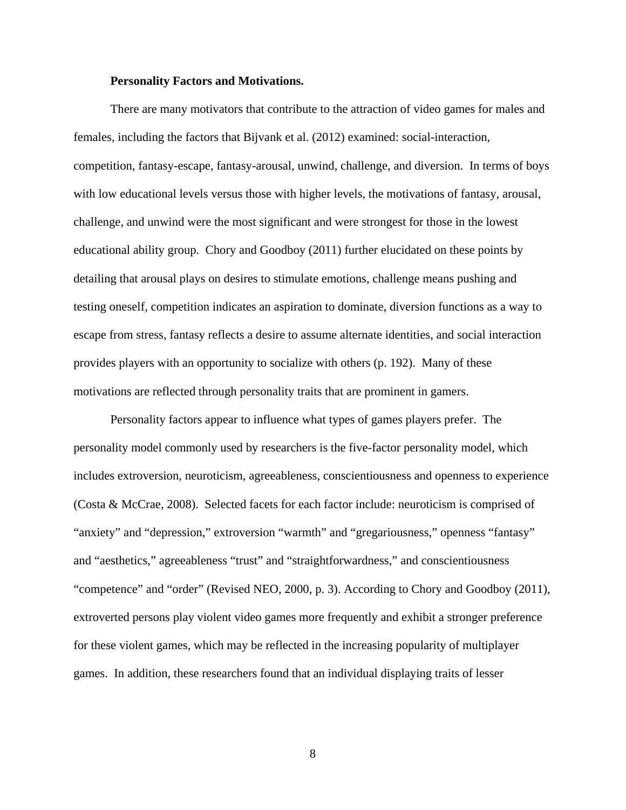#### **Personality Factors and Motivations.**

There are many motivators that contribute to the attraction of video games for males and females, including the factors that Bijvank et al. (2012) examined: social-interaction, competition, fantasy-escape, fantasy-arousal, unwind, challenge, and diversion. In terms of boys with low educational levels versus those with higher levels, the motivations of fantasy, arousal, challenge, and unwind were the most significant and were strongest for those in the lowest educational ability group. Chory and Goodboy (2011) further elucidated on these points by detailing that arousal plays on desires to stimulate emotions, challenge means pushing and testing oneself, competition indicates an aspiration to dominate, diversion functions as a way to escape from stress, fantasy reflects a desire to assume alternate identities, and social interaction provides players with an opportunity to socialize with others (p. 192). Many of these motivations are reflected through personality traits that are prominent in gamers.

Personality factors appear to influence what types of games players prefer. The personality model commonly used by researchers is the five-factor personality model, which includes extroversion, neuroticism, agreeableness, conscientiousness and openness to experience (Costa & McCrae, 2008). Selected facets for each factor include: neuroticism is comprised of "anxiety" and "depression," extroversion "warmth" and "gregariousness," openness "fantasy" and "aesthetics," agreeableness "trust" and "straightforwardness," and conscientiousness "competence" and "order" (Revised NEO, 2000, p. 3). According to Chory and Goodboy (2011), extroverted persons play violent video games more frequently and exhibit a stronger preference for these violent games, which may be reflected in the increasing popularity of multiplayer games. In addition, these researchers found that an individual displaying traits of lesser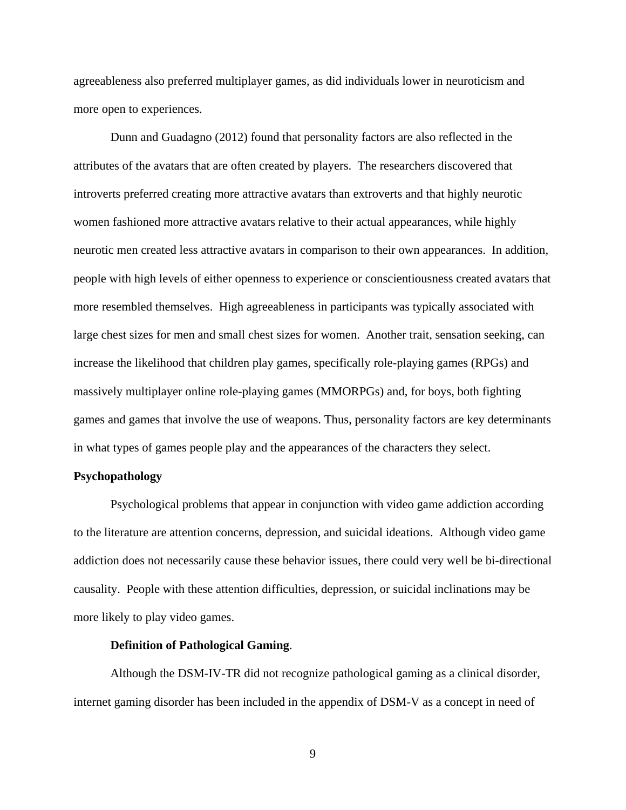agreeableness also preferred multiplayer games, as did individuals lower in neuroticism and more open to experiences.

Dunn and Guadagno (2012) found that personality factors are also reflected in the attributes of the avatars that are often created by players. The researchers discovered that introverts preferred creating more attractive avatars than extroverts and that highly neurotic women fashioned more attractive avatars relative to their actual appearances, while highly neurotic men created less attractive avatars in comparison to their own appearances. In addition, people with high levels of either openness to experience or conscientiousness created avatars that more resembled themselves. High agreeableness in participants was typically associated with large chest sizes for men and small chest sizes for women. Another trait, sensation seeking, can increase the likelihood that children play games, specifically role-playing games (RPGs) and massively multiplayer online role-playing games (MMORPGs) and, for boys, both fighting games and games that involve the use of weapons. Thus, personality factors are key determinants in what types of games people play and the appearances of the characters they select.

# **Psychopathology**

Psychological problems that appear in conjunction with video game addiction according to the literature are attention concerns, depression, and suicidal ideations. Although video game addiction does not necessarily cause these behavior issues, there could very well be bi-directional causality. People with these attention difficulties, depression, or suicidal inclinations may be more likely to play video games.

#### **Definition of Pathological Gaming**.

Although the DSM-IV-TR did not recognize pathological gaming as a clinical disorder, internet gaming disorder has been included in the appendix of DSM-V as a concept in need of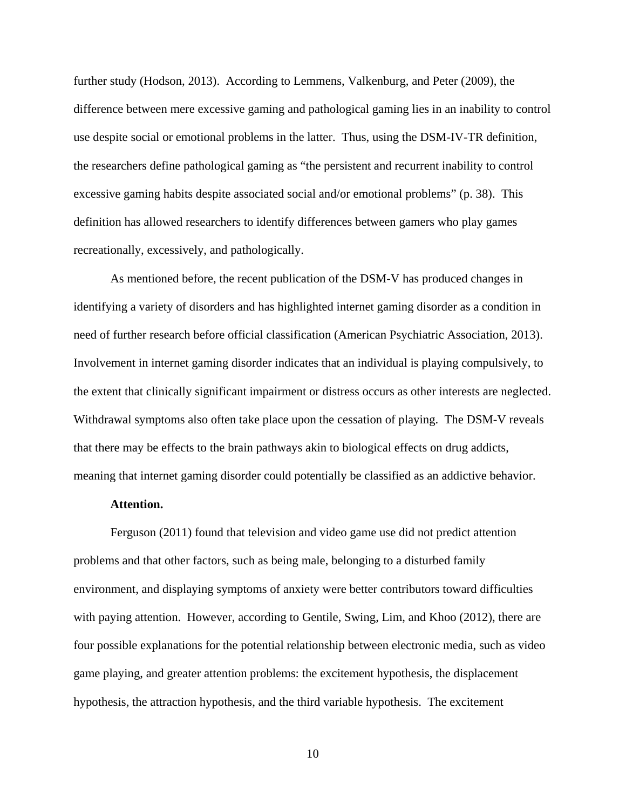further study (Hodson, 2013). According to Lemmens, Valkenburg, and Peter (2009), the difference between mere excessive gaming and pathological gaming lies in an inability to control use despite social or emotional problems in the latter. Thus, using the DSM-IV-TR definition, the researchers define pathological gaming as "the persistent and recurrent inability to control excessive gaming habits despite associated social and/or emotional problems" (p. 38). This definition has allowed researchers to identify differences between gamers who play games recreationally, excessively, and pathologically.

As mentioned before, the recent publication of the DSM-V has produced changes in identifying a variety of disorders and has highlighted internet gaming disorder as a condition in need of further research before official classification (American Psychiatric Association, 2013). Involvement in internet gaming disorder indicates that an individual is playing compulsively, to the extent that clinically significant impairment or distress occurs as other interests are neglected. Withdrawal symptoms also often take place upon the cessation of playing. The DSM-V reveals that there may be effects to the brain pathways akin to biological effects on drug addicts, meaning that internet gaming disorder could potentially be classified as an addictive behavior.

# **Attention.**

Ferguson (2011) found that television and video game use did not predict attention problems and that other factors, such as being male, belonging to a disturbed family environment, and displaying symptoms of anxiety were better contributors toward difficulties with paying attention. However, according to Gentile, Swing, Lim, and Khoo (2012), there are four possible explanations for the potential relationship between electronic media, such as video game playing, and greater attention problems: the excitement hypothesis, the displacement hypothesis, the attraction hypothesis, and the third variable hypothesis. The excitement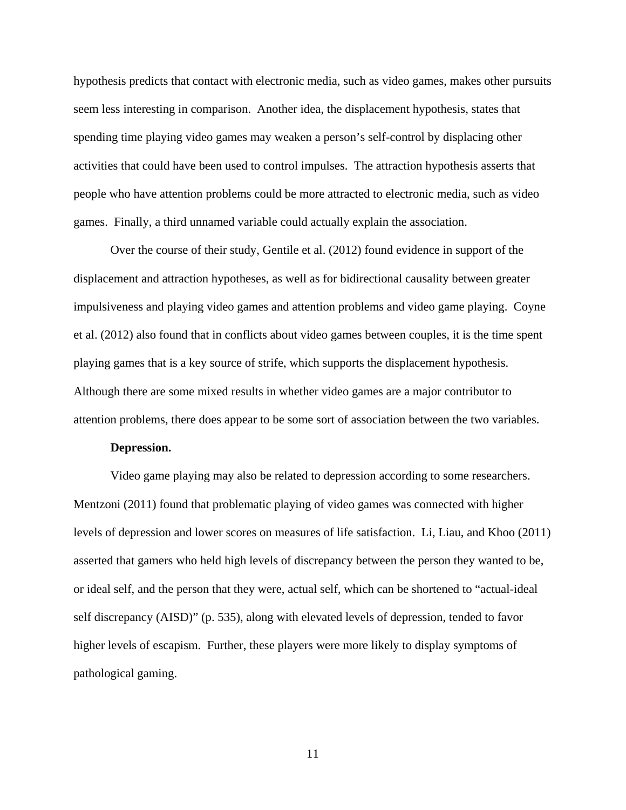hypothesis predicts that contact with electronic media, such as video games, makes other pursuits seem less interesting in comparison. Another idea, the displacement hypothesis, states that spending time playing video games may weaken a person's self-control by displacing other activities that could have been used to control impulses. The attraction hypothesis asserts that people who have attention problems could be more attracted to electronic media, such as video games. Finally, a third unnamed variable could actually explain the association.

Over the course of their study, Gentile et al. (2012) found evidence in support of the displacement and attraction hypotheses, as well as for bidirectional causality between greater impulsiveness and playing video games and attention problems and video game playing. Coyne et al. (2012) also found that in conflicts about video games between couples, it is the time spent playing games that is a key source of strife, which supports the displacement hypothesis. Although there are some mixed results in whether video games are a major contributor to attention problems, there does appear to be some sort of association between the two variables.

#### **Depression.**

Video game playing may also be related to depression according to some researchers. Mentzoni (2011) found that problematic playing of video games was connected with higher levels of depression and lower scores on measures of life satisfaction. Li, Liau, and Khoo (2011) asserted that gamers who held high levels of discrepancy between the person they wanted to be, or ideal self, and the person that they were, actual self, which can be shortened to "actual-ideal self discrepancy (AISD)" (p. 535), along with elevated levels of depression, tended to favor higher levels of escapism. Further, these players were more likely to display symptoms of pathological gaming.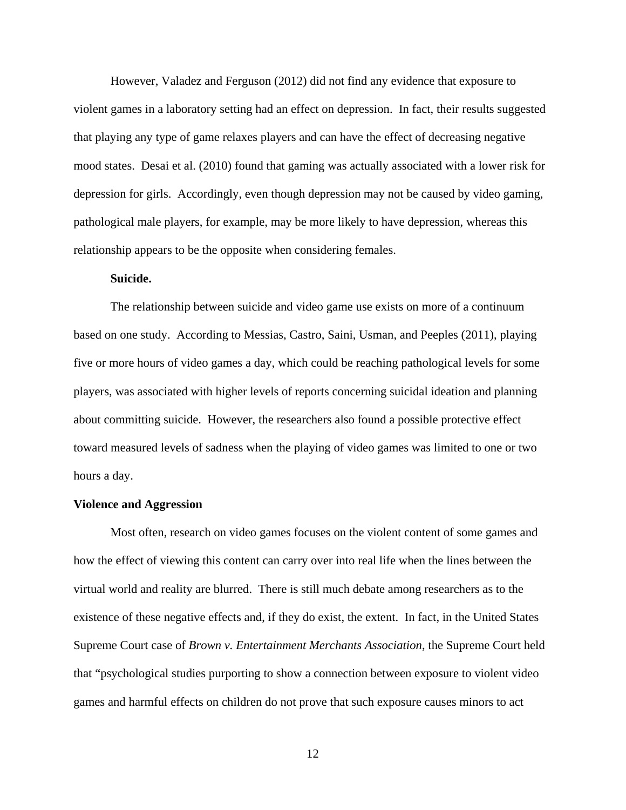However, Valadez and Ferguson (2012) did not find any evidence that exposure to violent games in a laboratory setting had an effect on depression. In fact, their results suggested that playing any type of game relaxes players and can have the effect of decreasing negative mood states. Desai et al. (2010) found that gaming was actually associated with a lower risk for depression for girls. Accordingly, even though depression may not be caused by video gaming, pathological male players, for example, may be more likely to have depression, whereas this relationship appears to be the opposite when considering females.

# **Suicide.**

The relationship between suicide and video game use exists on more of a continuum based on one study. According to Messias, Castro, Saini, Usman, and Peeples (2011), playing five or more hours of video games a day, which could be reaching pathological levels for some players, was associated with higher levels of reports concerning suicidal ideation and planning about committing suicide. However, the researchers also found a possible protective effect toward measured levels of sadness when the playing of video games was limited to one or two hours a day.

#### **Violence and Aggression**

Most often, research on video games focuses on the violent content of some games and how the effect of viewing this content can carry over into real life when the lines between the virtual world and reality are blurred. There is still much debate among researchers as to the existence of these negative effects and, if they do exist, the extent. In fact, in the United States Supreme Court case of *Brown v. Entertainment Merchants Association*, the Supreme Court held that "psychological studies purporting to show a connection between exposure to violent video games and harmful effects on children do not prove that such exposure causes minors to act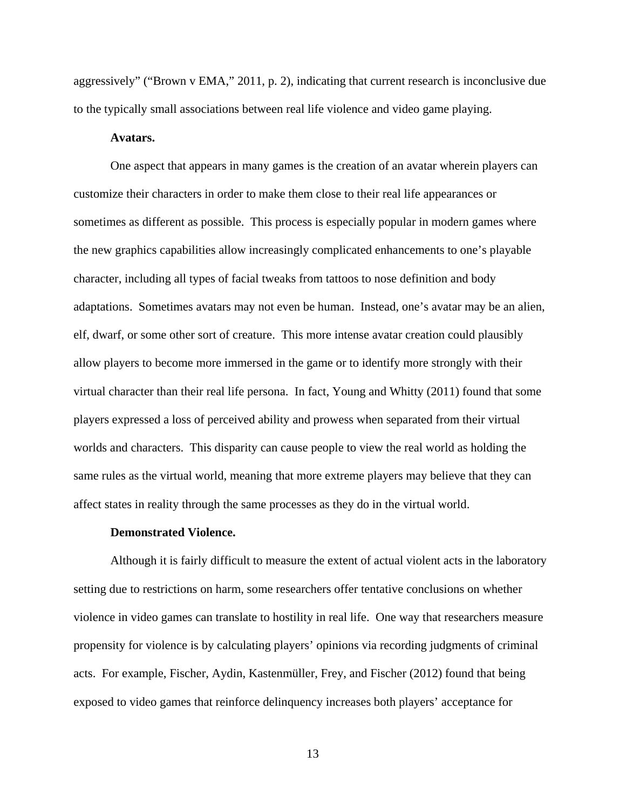aggressively" ("Brown v EMA," 2011, p. 2), indicating that current research is inconclusive due to the typically small associations between real life violence and video game playing.

#### **Avatars.**

One aspect that appears in many games is the creation of an avatar wherein players can customize their characters in order to make them close to their real life appearances or sometimes as different as possible. This process is especially popular in modern games where the new graphics capabilities allow increasingly complicated enhancements to one's playable character, including all types of facial tweaks from tattoos to nose definition and body adaptations. Sometimes avatars may not even be human. Instead, one's avatar may be an alien, elf, dwarf, or some other sort of creature. This more intense avatar creation could plausibly allow players to become more immersed in the game or to identify more strongly with their virtual character than their real life persona. In fact, Young and Whitty (2011) found that some players expressed a loss of perceived ability and prowess when separated from their virtual worlds and characters. This disparity can cause people to view the real world as holding the same rules as the virtual world, meaning that more extreme players may believe that they can affect states in reality through the same processes as they do in the virtual world.

#### **Demonstrated Violence.**

Although it is fairly difficult to measure the extent of actual violent acts in the laboratory setting due to restrictions on harm, some researchers offer tentative conclusions on whether violence in video games can translate to hostility in real life. One way that researchers measure propensity for violence is by calculating players' opinions via recording judgments of criminal acts. For example, Fischer, Aydin, Kastenmüller, Frey, and Fischer (2012) found that being exposed to video games that reinforce delinquency increases both players' acceptance for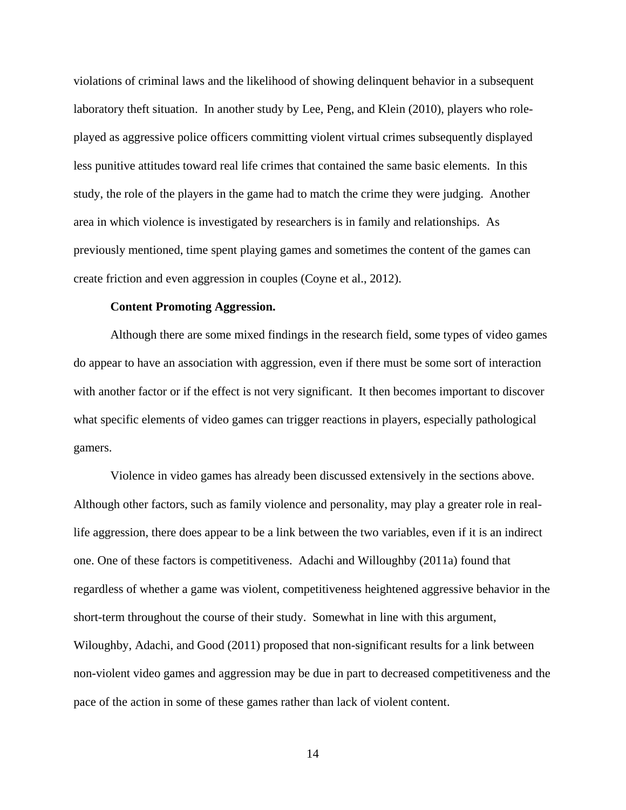violations of criminal laws and the likelihood of showing delinquent behavior in a subsequent laboratory theft situation. In another study by Lee, Peng, and Klein (2010), players who roleplayed as aggressive police officers committing violent virtual crimes subsequently displayed less punitive attitudes toward real life crimes that contained the same basic elements. In this study, the role of the players in the game had to match the crime they were judging. Another area in which violence is investigated by researchers is in family and relationships. As previously mentioned, time spent playing games and sometimes the content of the games can create friction and even aggression in couples (Coyne et al., 2012).

#### **Content Promoting Aggression.**

Although there are some mixed findings in the research field, some types of video games do appear to have an association with aggression, even if there must be some sort of interaction with another factor or if the effect is not very significant. It then becomes important to discover what specific elements of video games can trigger reactions in players, especially pathological gamers.

Violence in video games has already been discussed extensively in the sections above. Although other factors, such as family violence and personality, may play a greater role in reallife aggression, there does appear to be a link between the two variables, even if it is an indirect one. One of these factors is competitiveness. Adachi and Willoughby (2011a) found that regardless of whether a game was violent, competitiveness heightened aggressive behavior in the short-term throughout the course of their study. Somewhat in line with this argument, Wiloughby, Adachi, and Good (2011) proposed that non-significant results for a link between non-violent video games and aggression may be due in part to decreased competitiveness and the pace of the action in some of these games rather than lack of violent content.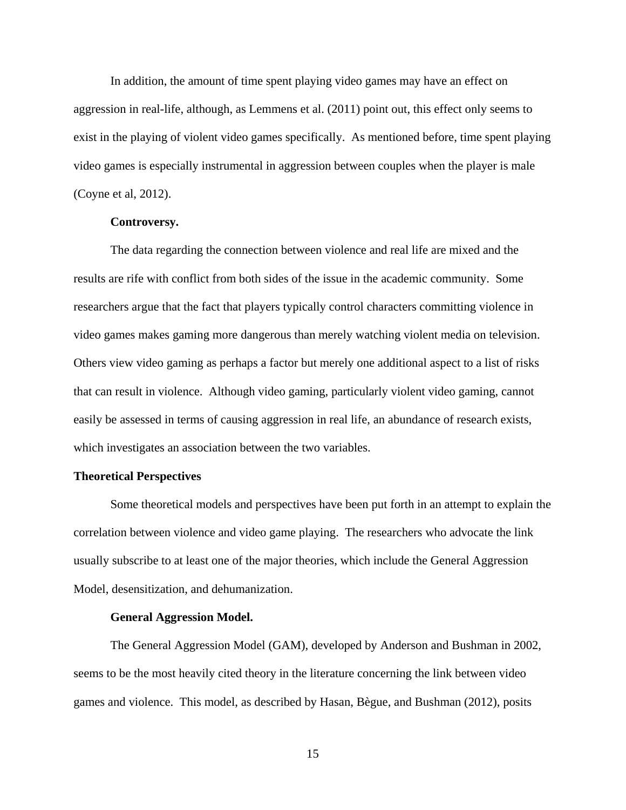In addition, the amount of time spent playing video games may have an effect on aggression in real-life, although, as Lemmens et al. (2011) point out, this effect only seems to exist in the playing of violent video games specifically. As mentioned before, time spent playing video games is especially instrumental in aggression between couples when the player is male (Coyne et al, 2012).

# **Controversy.**

The data regarding the connection between violence and real life are mixed and the results are rife with conflict from both sides of the issue in the academic community. Some researchers argue that the fact that players typically control characters committing violence in video games makes gaming more dangerous than merely watching violent media on television. Others view video gaming as perhaps a factor but merely one additional aspect to a list of risks that can result in violence. Although video gaming, particularly violent video gaming, cannot easily be assessed in terms of causing aggression in real life, an abundance of research exists, which investigates an association between the two variables.

#### **Theoretical Perspectives**

Some theoretical models and perspectives have been put forth in an attempt to explain the correlation between violence and video game playing. The researchers who advocate the link usually subscribe to at least one of the major theories, which include the General Aggression Model, desensitization, and dehumanization.

# **General Aggression Model.**

The General Aggression Model (GAM), developed by Anderson and Bushman in 2002, seems to be the most heavily cited theory in the literature concerning the link between video games and violence. This model, as described by Hasan, Bègue, and Bushman (2012), posits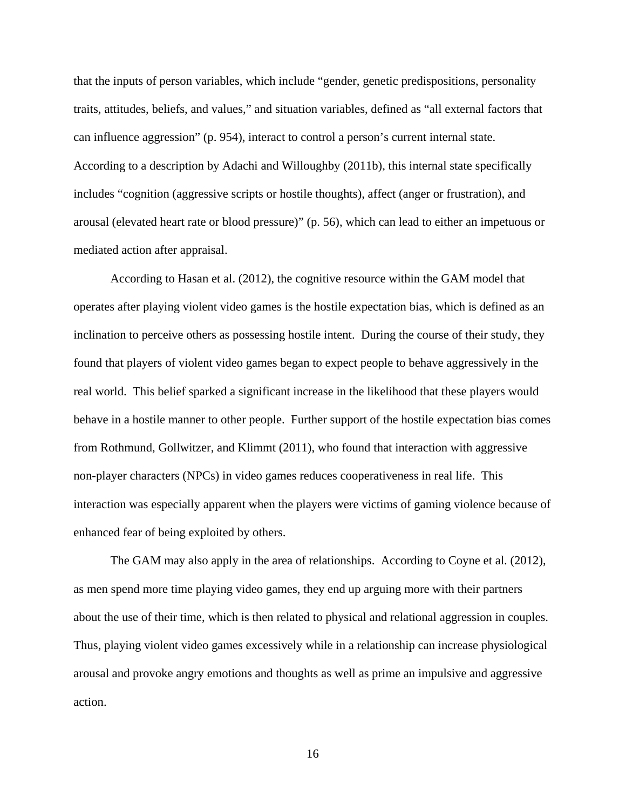that the inputs of person variables, which include "gender, genetic predispositions, personality traits, attitudes, beliefs, and values," and situation variables, defined as "all external factors that can influence aggression" (p. 954), interact to control a person's current internal state. According to a description by Adachi and Willoughby (2011b), this internal state specifically includes "cognition (aggressive scripts or hostile thoughts), affect (anger or frustration), and arousal (elevated heart rate or blood pressure)" (p. 56), which can lead to either an impetuous or mediated action after appraisal.

According to Hasan et al. (2012), the cognitive resource within the GAM model that operates after playing violent video games is the hostile expectation bias, which is defined as an inclination to perceive others as possessing hostile intent. During the course of their study, they found that players of violent video games began to expect people to behave aggressively in the real world. This belief sparked a significant increase in the likelihood that these players would behave in a hostile manner to other people. Further support of the hostile expectation bias comes from Rothmund, Gollwitzer, and Klimmt (2011), who found that interaction with aggressive non-player characters (NPCs) in video games reduces cooperativeness in real life. This interaction was especially apparent when the players were victims of gaming violence because of enhanced fear of being exploited by others.

The GAM may also apply in the area of relationships. According to Coyne et al. (2012), as men spend more time playing video games, they end up arguing more with their partners about the use of their time, which is then related to physical and relational aggression in couples. Thus, playing violent video games excessively while in a relationship can increase physiological arousal and provoke angry emotions and thoughts as well as prime an impulsive and aggressive action.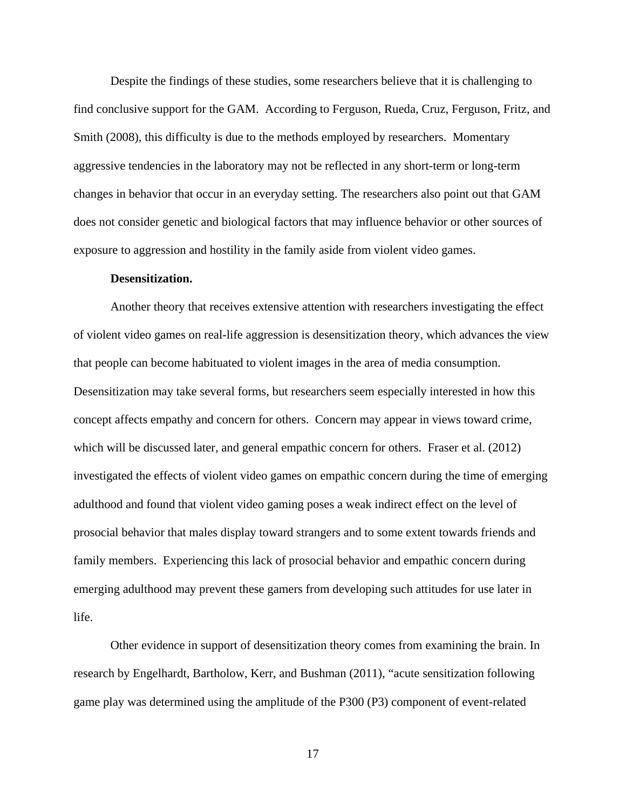Despite the findings of these studies, some researchers believe that it is challenging to find conclusive support for the GAM. According to Ferguson, Rueda, Cruz, Ferguson, Fritz, and Smith (2008), this difficulty is due to the methods employed by researchers. Momentary aggressive tendencies in the laboratory may not be reflected in any short-term or long-term changes in behavior that occur in an everyday setting. The researchers also point out that GAM does not consider genetic and biological factors that may influence behavior or other sources of exposure to aggression and hostility in the family aside from violent video games.

#### **Desensitization.**

Another theory that receives extensive attention with researchers investigating the effect of violent video games on real-life aggression is desensitization theory, which advances the view that people can become habituated to violent images in the area of media consumption. Desensitization may take several forms, but researchers seem especially interested in how this concept affects empathy and concern for others. Concern may appear in views toward crime, which will be discussed later, and general empathic concern for others. Fraser et al. (2012) investigated the effects of violent video games on empathic concern during the time of emerging adulthood and found that violent video gaming poses a weak indirect effect on the level of prosocial behavior that males display toward strangers and to some extent towards friends and family members. Experiencing this lack of prosocial behavior and empathic concern during emerging adulthood may prevent these gamers from developing such attitudes for use later in life.

Other evidence in support of desensitization theory comes from examining the brain. In research by Engelhardt, Bartholow, Kerr, and Bushman (2011), "acute sensitization following game play was determined using the amplitude of the P300 (P3) component of event-related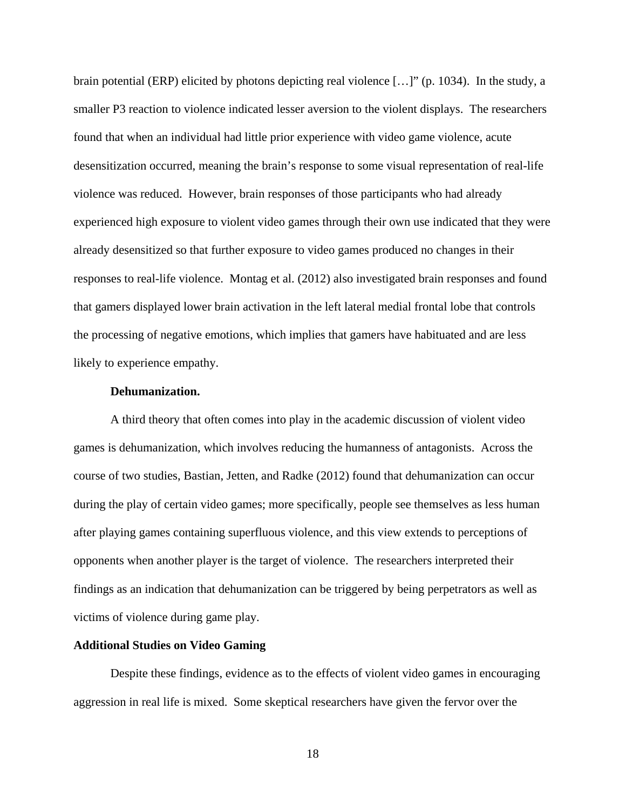brain potential (ERP) elicited by photons depicting real violence […]" (p. 1034). In the study, a smaller P3 reaction to violence indicated lesser aversion to the violent displays. The researchers found that when an individual had little prior experience with video game violence, acute desensitization occurred, meaning the brain's response to some visual representation of real-life violence was reduced. However, brain responses of those participants who had already experienced high exposure to violent video games through their own use indicated that they were already desensitized so that further exposure to video games produced no changes in their responses to real-life violence. Montag et al. (2012) also investigated brain responses and found that gamers displayed lower brain activation in the left lateral medial frontal lobe that controls the processing of negative emotions, which implies that gamers have habituated and are less likely to experience empathy.

#### **Dehumanization.**

A third theory that often comes into play in the academic discussion of violent video games is dehumanization, which involves reducing the humanness of antagonists. Across the course of two studies, Bastian, Jetten, and Radke (2012) found that dehumanization can occur during the play of certain video games; more specifically, people see themselves as less human after playing games containing superfluous violence, and this view extends to perceptions of opponents when another player is the target of violence. The researchers interpreted their findings as an indication that dehumanization can be triggered by being perpetrators as well as victims of violence during game play.

#### **Additional Studies on Video Gaming**

Despite these findings, evidence as to the effects of violent video games in encouraging aggression in real life is mixed. Some skeptical researchers have given the fervor over the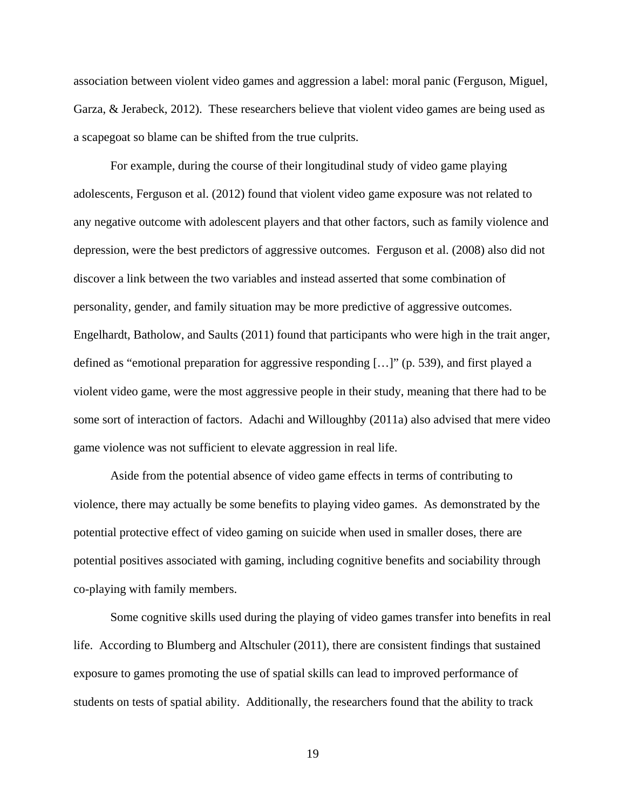association between violent video games and aggression a label: moral panic (Ferguson, Miguel, Garza, & Jerabeck, 2012). These researchers believe that violent video games are being used as a scapegoat so blame can be shifted from the true culprits.

For example, during the course of their longitudinal study of video game playing adolescents, Ferguson et al. (2012) found that violent video game exposure was not related to any negative outcome with adolescent players and that other factors, such as family violence and depression, were the best predictors of aggressive outcomes. Ferguson et al. (2008) also did not discover a link between the two variables and instead asserted that some combination of personality, gender, and family situation may be more predictive of aggressive outcomes. Engelhardt, Batholow, and Saults (2011) found that participants who were high in the trait anger, defined as "emotional preparation for aggressive responding […]" (p. 539), and first played a violent video game, were the most aggressive people in their study, meaning that there had to be some sort of interaction of factors. Adachi and Willoughby (2011a) also advised that mere video game violence was not sufficient to elevate aggression in real life.

Aside from the potential absence of video game effects in terms of contributing to violence, there may actually be some benefits to playing video games. As demonstrated by the potential protective effect of video gaming on suicide when used in smaller doses, there are potential positives associated with gaming, including cognitive benefits and sociability through co-playing with family members.

Some cognitive skills used during the playing of video games transfer into benefits in real life. According to Blumberg and Altschuler (2011), there are consistent findings that sustained exposure to games promoting the use of spatial skills can lead to improved performance of students on tests of spatial ability. Additionally, the researchers found that the ability to track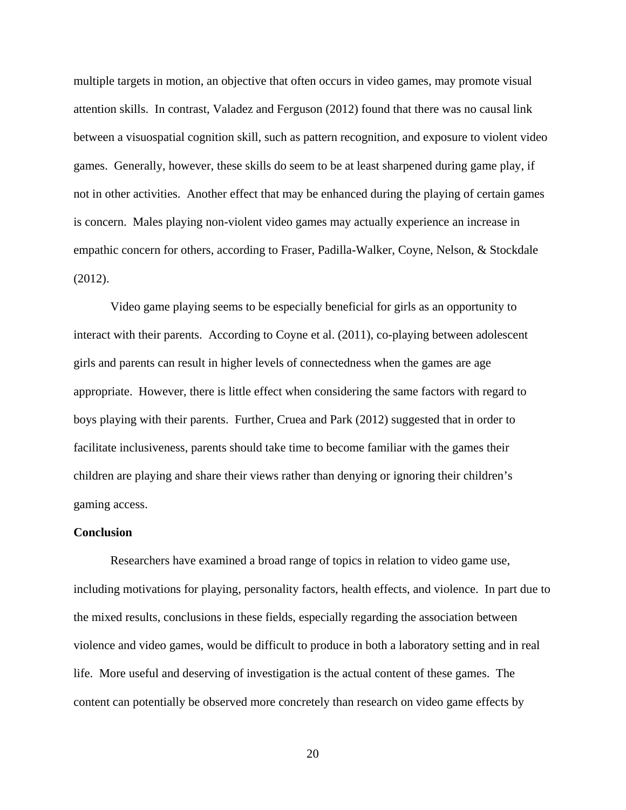multiple targets in motion, an objective that often occurs in video games, may promote visual attention skills. In contrast, Valadez and Ferguson (2012) found that there was no causal link between a visuospatial cognition skill, such as pattern recognition, and exposure to violent video games. Generally, however, these skills do seem to be at least sharpened during game play, if not in other activities. Another effect that may be enhanced during the playing of certain games is concern. Males playing non-violent video games may actually experience an increase in empathic concern for others, according to Fraser, Padilla-Walker, Coyne, Nelson, & Stockdale (2012).

Video game playing seems to be especially beneficial for girls as an opportunity to interact with their parents. According to Coyne et al. (2011), co-playing between adolescent girls and parents can result in higher levels of connectedness when the games are age appropriate. However, there is little effect when considering the same factors with regard to boys playing with their parents. Further, Cruea and Park (2012) suggested that in order to facilitate inclusiveness, parents should take time to become familiar with the games their children are playing and share their views rather than denying or ignoring their children's gaming access.

#### **Conclusion**

Researchers have examined a broad range of topics in relation to video game use, including motivations for playing, personality factors, health effects, and violence. In part due to the mixed results, conclusions in these fields, especially regarding the association between violence and video games, would be difficult to produce in both a laboratory setting and in real life. More useful and deserving of investigation is the actual content of these games. The content can potentially be observed more concretely than research on video game effects by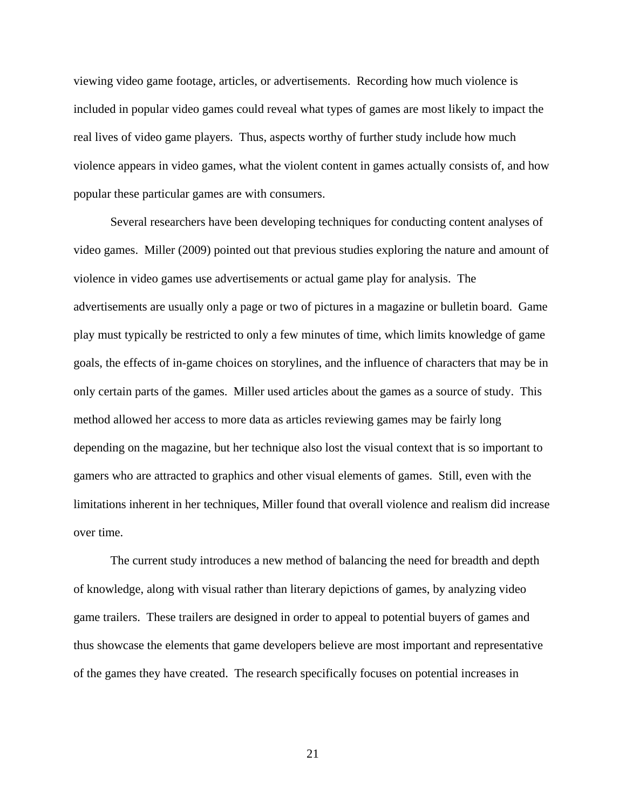viewing video game footage, articles, or advertisements. Recording how much violence is included in popular video games could reveal what types of games are most likely to impact the real lives of video game players. Thus, aspects worthy of further study include how much violence appears in video games, what the violent content in games actually consists of, and how popular these particular games are with consumers.

Several researchers have been developing techniques for conducting content analyses of video games. Miller (2009) pointed out that previous studies exploring the nature and amount of violence in video games use advertisements or actual game play for analysis. The advertisements are usually only a page or two of pictures in a magazine or bulletin board. Game play must typically be restricted to only a few minutes of time, which limits knowledge of game goals, the effects of in-game choices on storylines, and the influence of characters that may be in only certain parts of the games. Miller used articles about the games as a source of study. This method allowed her access to more data as articles reviewing games may be fairly long depending on the magazine, but her technique also lost the visual context that is so important to gamers who are attracted to graphics and other visual elements of games. Still, even with the limitations inherent in her techniques, Miller found that overall violence and realism did increase over time.

The current study introduces a new method of balancing the need for breadth and depth of knowledge, along with visual rather than literary depictions of games, by analyzing video game trailers. These trailers are designed in order to appeal to potential buyers of games and thus showcase the elements that game developers believe are most important and representative of the games they have created. The research specifically focuses on potential increases in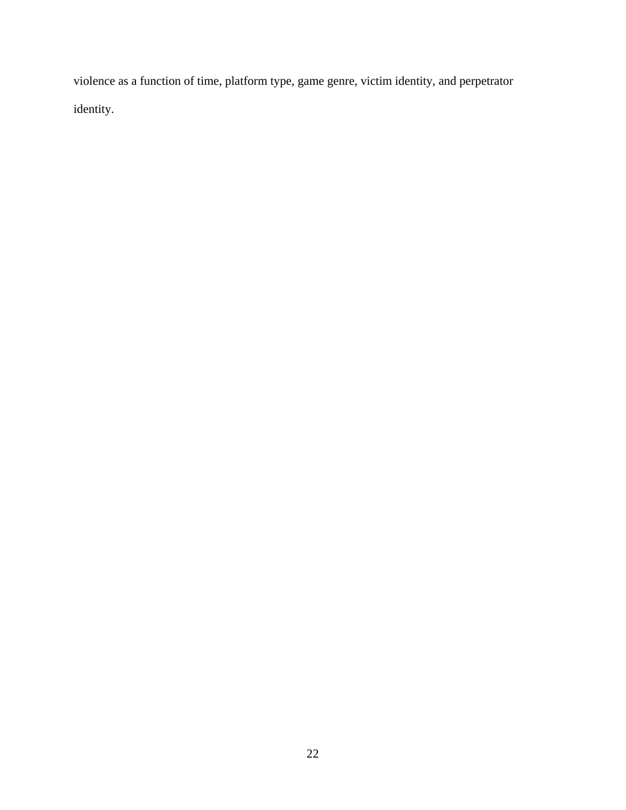violence as a function of time, platform type, game genre, victim identity, and perpetrator identity.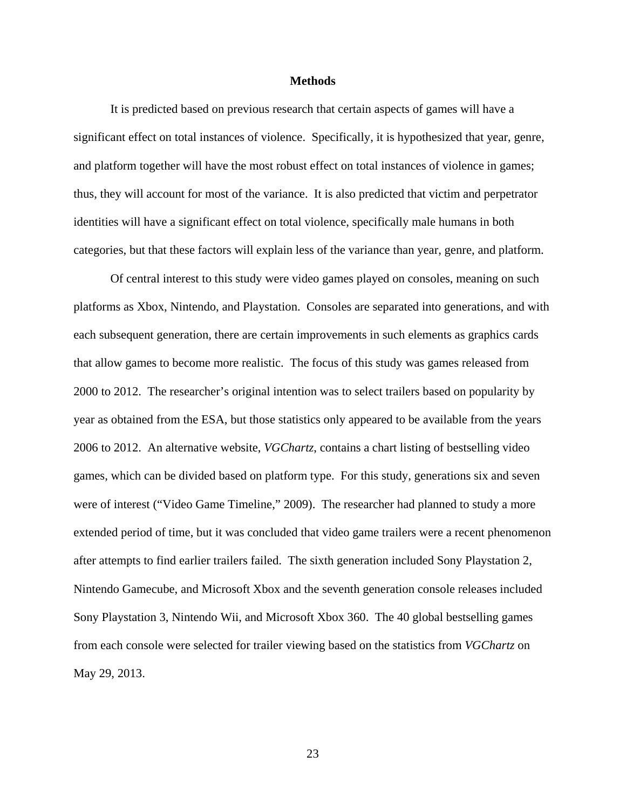#### **Methods**

It is predicted based on previous research that certain aspects of games will have a significant effect on total instances of violence. Specifically, it is hypothesized that year, genre, and platform together will have the most robust effect on total instances of violence in games; thus, they will account for most of the variance. It is also predicted that victim and perpetrator identities will have a significant effect on total violence, specifically male humans in both categories, but that these factors will explain less of the variance than year, genre, and platform.

Of central interest to this study were video games played on consoles, meaning on such platforms as Xbox, Nintendo, and Playstation. Consoles are separated into generations, and with each subsequent generation, there are certain improvements in such elements as graphics cards that allow games to become more realistic. The focus of this study was games released from 2000 to 2012. The researcher's original intention was to select trailers based on popularity by year as obtained from the ESA, but those statistics only appeared to be available from the years 2006 to 2012. An alternative website, *VGChartz*, contains a chart listing of bestselling video games, which can be divided based on platform type. For this study, generations six and seven were of interest ("Video Game Timeline," 2009). The researcher had planned to study a more extended period of time, but it was concluded that video game trailers were a recent phenomenon after attempts to find earlier trailers failed. The sixth generation included Sony Playstation 2, Nintendo Gamecube, and Microsoft Xbox and the seventh generation console releases included Sony Playstation 3, Nintendo Wii, and Microsoft Xbox 360. The 40 global bestselling games from each console were selected for trailer viewing based on the statistics from *VGChartz* on May 29, 2013.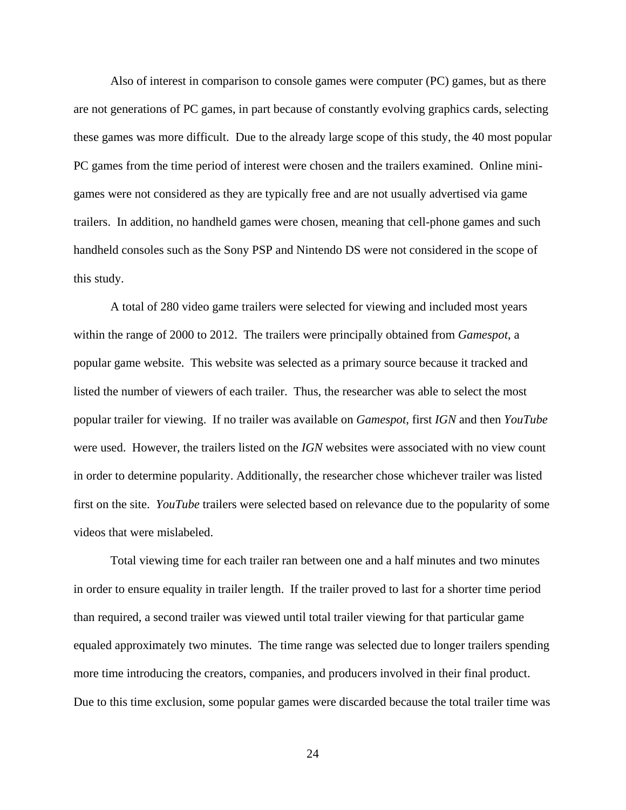Also of interest in comparison to console games were computer (PC) games, but as there are not generations of PC games, in part because of constantly evolving graphics cards, selecting these games was more difficult. Due to the already large scope of this study, the 40 most popular PC games from the time period of interest were chosen and the trailers examined. Online minigames were not considered as they are typically free and are not usually advertised via game trailers. In addition, no handheld games were chosen, meaning that cell-phone games and such handheld consoles such as the Sony PSP and Nintendo DS were not considered in the scope of this study.

A total of 280 video game trailers were selected for viewing and included most years within the range of 2000 to 2012. The trailers were principally obtained from *Gamespot*, a popular game website. This website was selected as a primary source because it tracked and listed the number of viewers of each trailer. Thus, the researcher was able to select the most popular trailer for viewing. If no trailer was available on *Gamespot*, first *IGN* and then *YouTube* were used. However, the trailers listed on the *IGN* websites were associated with no view count in order to determine popularity. Additionally, the researcher chose whichever trailer was listed first on the site. *YouTube* trailers were selected based on relevance due to the popularity of some videos that were mislabeled.

Total viewing time for each trailer ran between one and a half minutes and two minutes in order to ensure equality in trailer length. If the trailer proved to last for a shorter time period than required, a second trailer was viewed until total trailer viewing for that particular game equaled approximately two minutes. The time range was selected due to longer trailers spending more time introducing the creators, companies, and producers involved in their final product. Due to this time exclusion, some popular games were discarded because the total trailer time was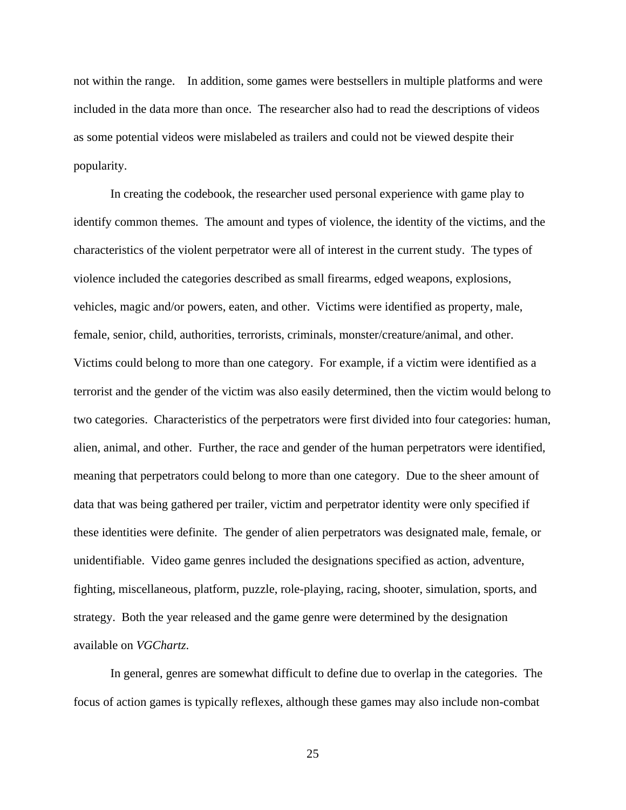not within the range. In addition, some games were bestsellers in multiple platforms and were included in the data more than once. The researcher also had to read the descriptions of videos as some potential videos were mislabeled as trailers and could not be viewed despite their popularity.

In creating the codebook, the researcher used personal experience with game play to identify common themes. The amount and types of violence, the identity of the victims, and the characteristics of the violent perpetrator were all of interest in the current study. The types of violence included the categories described as small firearms, edged weapons, explosions, vehicles, magic and/or powers, eaten, and other. Victims were identified as property, male, female, senior, child, authorities, terrorists, criminals, monster/creature/animal, and other. Victims could belong to more than one category. For example, if a victim were identified as a terrorist and the gender of the victim was also easily determined, then the victim would belong to two categories. Characteristics of the perpetrators were first divided into four categories: human, alien, animal, and other. Further, the race and gender of the human perpetrators were identified, meaning that perpetrators could belong to more than one category. Due to the sheer amount of data that was being gathered per trailer, victim and perpetrator identity were only specified if these identities were definite. The gender of alien perpetrators was designated male, female, or unidentifiable. Video game genres included the designations specified as action, adventure, fighting, miscellaneous, platform, puzzle, role-playing, racing, shooter, simulation, sports, and strategy. Both the year released and the game genre were determined by the designation available on *VGChartz*.

In general, genres are somewhat difficult to define due to overlap in the categories. The focus of action games is typically reflexes, although these games may also include non-combat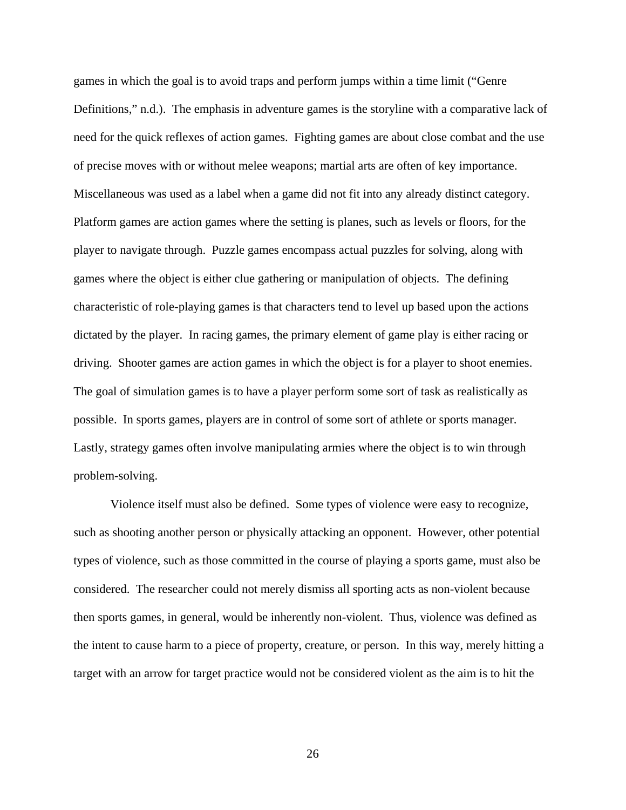games in which the goal is to avoid traps and perform jumps within a time limit ("Genre Definitions," n.d.). The emphasis in adventure games is the storyline with a comparative lack of need for the quick reflexes of action games. Fighting games are about close combat and the use of precise moves with or without melee weapons; martial arts are often of key importance. Miscellaneous was used as a label when a game did not fit into any already distinct category. Platform games are action games where the setting is planes, such as levels or floors, for the player to navigate through. Puzzle games encompass actual puzzles for solving, along with games where the object is either clue gathering or manipulation of objects. The defining characteristic of role-playing games is that characters tend to level up based upon the actions dictated by the player. In racing games, the primary element of game play is either racing or driving. Shooter games are action games in which the object is for a player to shoot enemies. The goal of simulation games is to have a player perform some sort of task as realistically as possible. In sports games, players are in control of some sort of athlete or sports manager. Lastly, strategy games often involve manipulating armies where the object is to win through problem-solving.

Violence itself must also be defined. Some types of violence were easy to recognize, such as shooting another person or physically attacking an opponent. However, other potential types of violence, such as those committed in the course of playing a sports game, must also be considered. The researcher could not merely dismiss all sporting acts as non-violent because then sports games, in general, would be inherently non-violent. Thus, violence was defined as the intent to cause harm to a piece of property, creature, or person. In this way, merely hitting a target with an arrow for target practice would not be considered violent as the aim is to hit the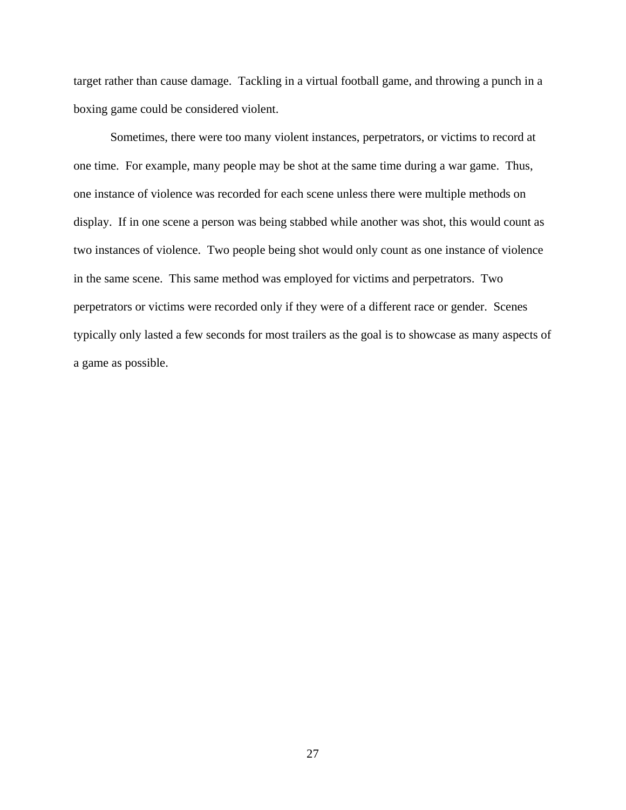target rather than cause damage. Tackling in a virtual football game, and throwing a punch in a boxing game could be considered violent.

Sometimes, there were too many violent instances, perpetrators, or victims to record at one time. For example, many people may be shot at the same time during a war game. Thus, one instance of violence was recorded for each scene unless there were multiple methods on display. If in one scene a person was being stabbed while another was shot, this would count as two instances of violence. Two people being shot would only count as one instance of violence in the same scene. This same method was employed for victims and perpetrators. Two perpetrators or victims were recorded only if they were of a different race or gender. Scenes typically only lasted a few seconds for most trailers as the goal is to showcase as many aspects of a game as possible.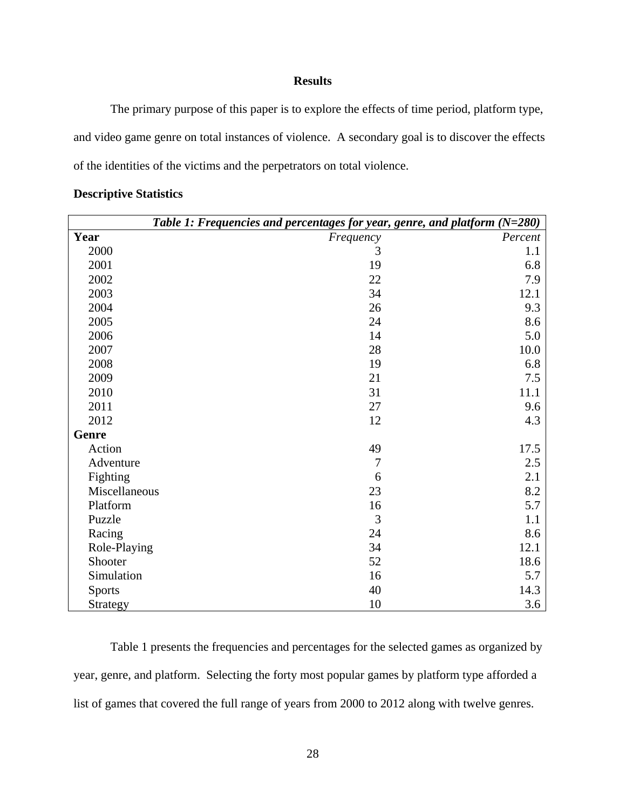# **Results**

The primary purpose of this paper is to explore the effects of time period, platform type, and video game genre on total instances of violence. A secondary goal is to discover the effects of the identities of the victims and the perpetrators on total violence.

|               | Table 1: Frequencies and percentages for year, genre, and platform $(N=280)$ |         |
|---------------|------------------------------------------------------------------------------|---------|
| Year          | Frequency                                                                    | Percent |
| 2000          | 3                                                                            | 1.1     |
| 2001          | 19                                                                           | 6.8     |
| 2002          | 22                                                                           | 7.9     |
| 2003          | 34                                                                           | 12.1    |
| 2004          | 26                                                                           | 9.3     |
| 2005          | 24                                                                           | 8.6     |
| 2006          | 14                                                                           | 5.0     |
| 2007          | 28                                                                           | 10.0    |
| 2008          | 19                                                                           | 6.8     |
| 2009          | 21                                                                           | 7.5     |
| 2010          | 31                                                                           | 11.1    |
| 2011          | 27                                                                           | 9.6     |
| 2012          | 12                                                                           | 4.3     |
| Genre         |                                                                              |         |
| Action        | 49                                                                           | 17.5    |
| Adventure     | $\overline{7}$                                                               | 2.5     |
| Fighting      | 6                                                                            | 2.1     |
| Miscellaneous | 23                                                                           | 8.2     |
| Platform      | 16                                                                           | 5.7     |
| Puzzle        | 3                                                                            | 1.1     |
| Racing        | 24                                                                           | 8.6     |
| Role-Playing  | 34                                                                           | 12.1    |
| Shooter       | 52                                                                           | 18.6    |
| Simulation    | 16                                                                           | 5.7     |
| <b>Sports</b> | 40                                                                           | 14.3    |
| Strategy      | 10                                                                           | 3.6     |

# **Descriptive Statistics**

Table 1 presents the frequencies and percentages for the selected games as organized by year, genre, and platform. Selecting the forty most popular games by platform type afforded a list of games that covered the full range of years from 2000 to 2012 along with twelve genres.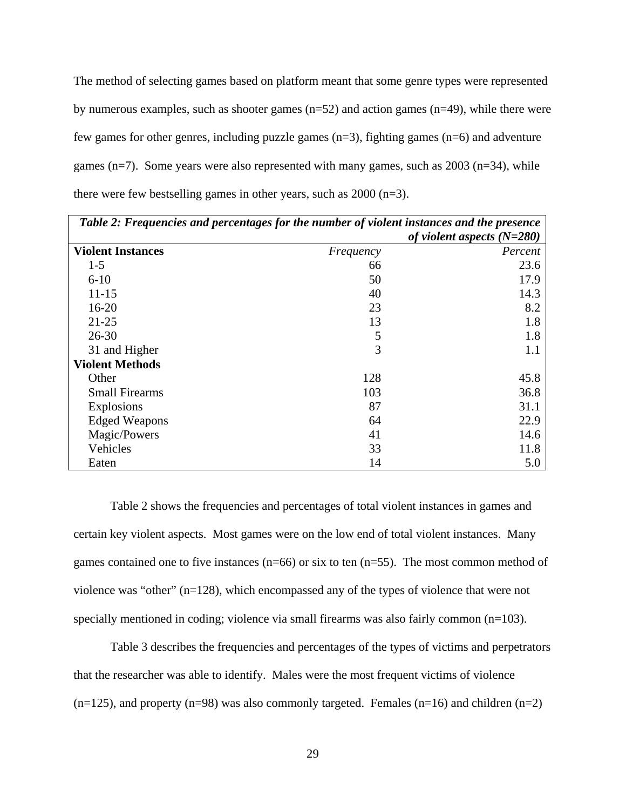The method of selecting games based on platform meant that some genre types were represented by numerous examples, such as shooter games  $(n=52)$  and action games  $(n=49)$ , while there were few games for other genres, including puzzle games (n=3), fighting games (n=6) and adventure games ( $n=7$ ). Some years were also represented with many games, such as  $2003$  ( $n=34$ ), while there were few bestselling games in other years, such as 2000 (n=3).

| Table 2: Frequencies and percentages for the number of violent instances and the presence |           |                              |  |
|-------------------------------------------------------------------------------------------|-----------|------------------------------|--|
|                                                                                           |           | of violent aspects $(N=280)$ |  |
| <b>Violent Instances</b>                                                                  | Frequency | Percent                      |  |
| $1 - 5$                                                                                   | 66        | 23.6                         |  |
| $6 - 10$                                                                                  | 50        | 17.9                         |  |
| $11 - 15$                                                                                 | 40        | 14.3                         |  |
| $16 - 20$                                                                                 | 23        | 8.2                          |  |
| $21 - 25$                                                                                 | 13        | 1.8                          |  |
| $26 - 30$                                                                                 | 5         | 1.8                          |  |
| 31 and Higher                                                                             | 3         | 1.1                          |  |
| <b>Violent Methods</b>                                                                    |           |                              |  |
| Other                                                                                     | 128       | 45.8                         |  |
| <b>Small Firearms</b>                                                                     | 103       | 36.8                         |  |
| <b>Explosions</b>                                                                         | 87        | 31.1                         |  |
| <b>Edged Weapons</b>                                                                      | 64        | 22.9                         |  |
| Magic/Powers                                                                              | 41        | 14.6                         |  |
| Vehicles                                                                                  | 33        | 11.8                         |  |
| Eaten                                                                                     | 14        | 5.0                          |  |

Table 2 shows the frequencies and percentages of total violent instances in games and certain key violent aspects. Most games were on the low end of total violent instances. Many games contained one to five instances ( $n=66$ ) or six to ten ( $n=55$ ). The most common method of violence was "other" (n=128), which encompassed any of the types of violence that were not specially mentioned in coding; violence via small firearms was also fairly common (n=103).

Table 3 describes the frequencies and percentages of the types of victims and perpetrators that the researcher was able to identify. Males were the most frequent victims of violence  $(n=125)$ , and property  $(n=98)$  was also commonly targeted. Females  $(n=16)$  and children  $(n=2)$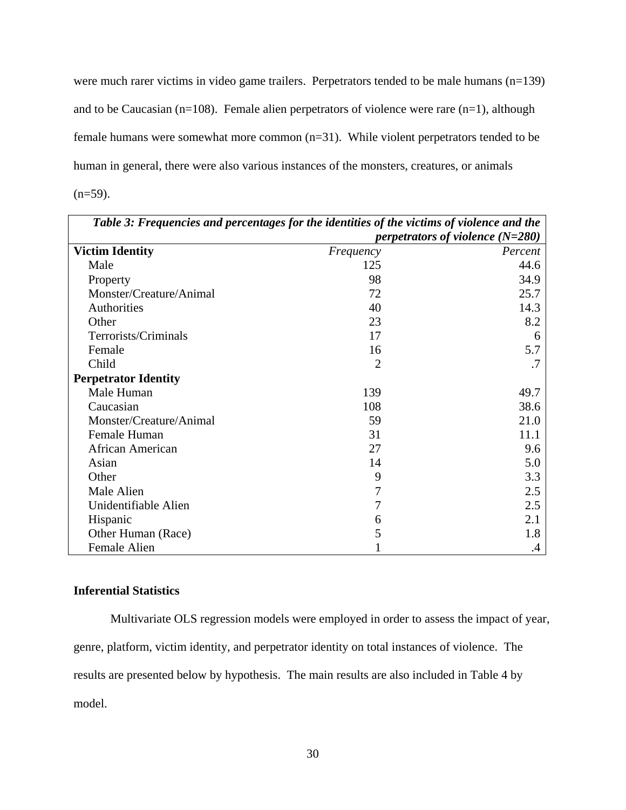were much rarer victims in video game trailers. Perpetrators tended to be male humans (n=139) and to be Caucasian ( $n=108$ ). Female alien perpetrators of violence were rare ( $n=1$ ), although female humans were somewhat more common (n=31). While violent perpetrators tended to be human in general, there were also various instances of the monsters, creatures, or animals  $(n=59)$ .

| Table 3: Frequencies and percentages for the identities of the victims of violence and the |                |                                           |  |  |  |
|--------------------------------------------------------------------------------------------|----------------|-------------------------------------------|--|--|--|
|                                                                                            |                | <i>perpetrators of violence</i> $(N=280)$ |  |  |  |
| <b>Victim Identity</b>                                                                     | Frequency      | Percent                                   |  |  |  |
| Male                                                                                       | 125            | 44.6                                      |  |  |  |
| Property                                                                                   | 98             | 34.9                                      |  |  |  |
| Monster/Creature/Animal                                                                    | 72             | 25.7                                      |  |  |  |
| Authorities                                                                                | 40             | 14.3                                      |  |  |  |
| Other                                                                                      | 23             | 8.2                                       |  |  |  |
| Terrorists/Criminals                                                                       | 17             | 6                                         |  |  |  |
| Female                                                                                     | 16             | 5.7                                       |  |  |  |
| Child                                                                                      | $\overline{2}$ | .7                                        |  |  |  |
| <b>Perpetrator Identity</b>                                                                |                |                                           |  |  |  |
| Male Human                                                                                 | 139            | 49.7                                      |  |  |  |
| Caucasian                                                                                  | 108            | 38.6                                      |  |  |  |
| Monster/Creature/Animal                                                                    | 59             | 21.0                                      |  |  |  |
| <b>Female Human</b>                                                                        | 31             | 11.1                                      |  |  |  |
| African American                                                                           | 27             | 9.6                                       |  |  |  |
| Asian                                                                                      | 14             | 5.0                                       |  |  |  |
| Other                                                                                      | 9              | 3.3                                       |  |  |  |
| Male Alien                                                                                 | 7              | 2.5                                       |  |  |  |
| Unidentifiable Alien                                                                       | 7              | 2.5                                       |  |  |  |
| Hispanic                                                                                   | 6              | 2.1                                       |  |  |  |
| Other Human (Race)                                                                         | 5              | 1.8                                       |  |  |  |
| <b>Female Alien</b>                                                                        |                | $\cdot$                                   |  |  |  |

# **Inferential Statistics**

Multivariate OLS regression models were employed in order to assess the impact of year, genre, platform, victim identity, and perpetrator identity on total instances of violence. The results are presented below by hypothesis. The main results are also included in Table 4 by model.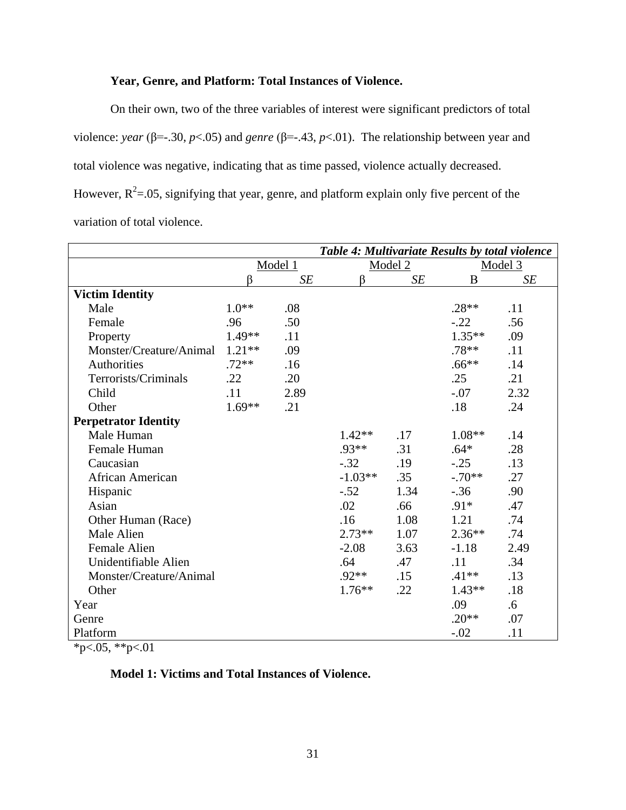# **Year, Genre, and Platform: Total Instances of Violence.**

On their own, two of the three variables of interest were significant predictors of total violence: *year* (β=-.30, *p*<.05) and *genre* (β=-.43, *p*<.01). The relationship between year and total violence was negative, indicating that as time passed, violence actually decreased. However,  $R^2$ =.05, signifying that year, genre, and platform explain only five percent of the variation of total violence.

|                             | Table 4: Multivariate Results by total violence |      |              |      |          |      |
|-----------------------------|-------------------------------------------------|------|--------------|------|----------|------|
|                             | Model 1                                         |      | Model 2      |      | Model 3  |      |
|                             | ß                                               | SE   | <sup>B</sup> | SE   | B        | SE   |
| <b>Victim Identity</b>      |                                                 |      |              |      |          |      |
| Male                        | $1.0**$                                         | .08  |              |      | $.28**$  | .11  |
| Female                      | .96                                             | .50  |              |      | $-.22$   | .56  |
| Property                    | 1.49**                                          | .11  |              |      | $1.35**$ | .09  |
| Monster/Creature/Animal     | $1.21**$                                        | .09  |              |      | $.78**$  | .11  |
| Authorities                 | $.72**$                                         | .16  |              |      | $.66***$ | .14  |
| Terrorists/Criminals        | .22                                             | .20  |              |      | .25      | .21  |
| Child                       | .11                                             | 2.89 |              |      | $-.07$   | 2.32 |
| Other                       | $1.69**$                                        | .21  |              |      | .18      | .24  |
| <b>Perpetrator Identity</b> |                                                 |      |              |      |          |      |
| Male Human                  |                                                 |      | $1.42**$     | .17  | $1.08**$ | .14  |
| Female Human                |                                                 |      | $.93**$      | .31  | $.64*$   | .28  |
| Caucasian                   |                                                 |      | $-.32$       | .19  | $-.25$   | .13  |
| African American            |                                                 |      | $-1.03**$    | .35  | $-.70**$ | .27  |
| Hispanic                    |                                                 |      | $-.52$       | 1.34 | $-.36$   | .90  |
| Asian                       |                                                 |      | .02          | .66  | $.91*$   | .47  |
| Other Human (Race)          |                                                 |      | .16          | 1.08 | 1.21     | .74  |
| Male Alien                  |                                                 |      | $2.73**$     | 1.07 | $2.36**$ | .74  |
| Female Alien                |                                                 |      | $-2.08$      | 3.63 | $-1.18$  | 2.49 |
| Unidentifiable Alien        |                                                 |      | .64          | .47  | .11      | .34  |
| Monster/Creature/Animal     |                                                 |      | $.92**$      | .15  | $.41**$  | .13  |
| Other                       |                                                 |      | $1.76**$     | .22  | $1.43**$ | .18  |
| Year                        |                                                 |      |              |      | .09      | .6   |
| Genre                       |                                                 |      |              |      | $.20**$  | .07  |
| Platform                    |                                                 |      |              |      | $-.02$   | .11  |

 $*p<.05, **p<.01$ 

# **Model 1: Victims and Total Instances of Violence.**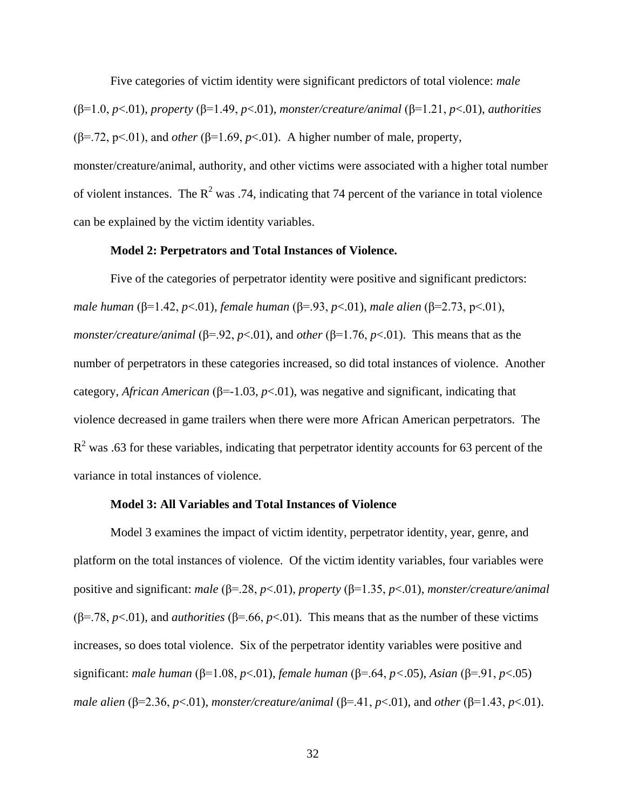Five categories of victim identity were significant predictors of total violence: *male* (β=1.0, *p*<.01), *property* (β=1.49, *p*<.01), *monster/creature/animal* (β=1.21, *p*<.01), *authorities* ( $\beta$ =.72,  $p$ <.01), and *other* ( $\beta$ =1.69,  $p$ <.01). A higher number of male, property, monster/creature/animal, authority, and other victims were associated with a higher total number of violent instances. The  $R^2$  was .74, indicating that 74 percent of the variance in total violence can be explained by the victim identity variables.

# **Model 2: Perpetrators and Total Instances of Violence.**

Five of the categories of perpetrator identity were positive and significant predictors: *male human* (β=1.42, *p*<.01), *female human* (β=.93, *p*<.01), *male alien* (β=2.73, p<.01), *monster/creature/animal* (β=.92, *p*<.01), and *other* (β=1.76, *p*<.01). This means that as the number of perpetrators in these categories increased, so did total instances of violence. Another category, *African American* (β=-1.03, *p*<.01), was negative and significant, indicating that violence decreased in game trailers when there were more African American perpetrators. The  $R<sup>2</sup>$  was .63 for these variables, indicating that perpetrator identity accounts for 63 percent of the variance in total instances of violence.

# **Model 3: All Variables and Total Instances of Violence**

Model 3 examines the impact of victim identity, perpetrator identity, year, genre, and platform on the total instances of violence. Of the victim identity variables, four variables were positive and significant: *male* (β=.28, *p*<.01), *property* (β=1.35, *p*<.01), *monster/creature/animal* ( $\beta$ =.78, *p*<.01), and *authorities* ( $\beta$ =.66, *p*<.01). This means that as the number of these victims increases, so does total violence. Six of the perpetrator identity variables were positive and significant: *male human* (β=1.08, *p*<.01), *female human* (β=.64, *p<*.05), *Asian* (β=.91, *p*<.05) *male alien* (β=2.36, *p*<.01), *monster/creature/animal* (β=.41, *p*<.01), and *other* (β=1.43, *p*<.01).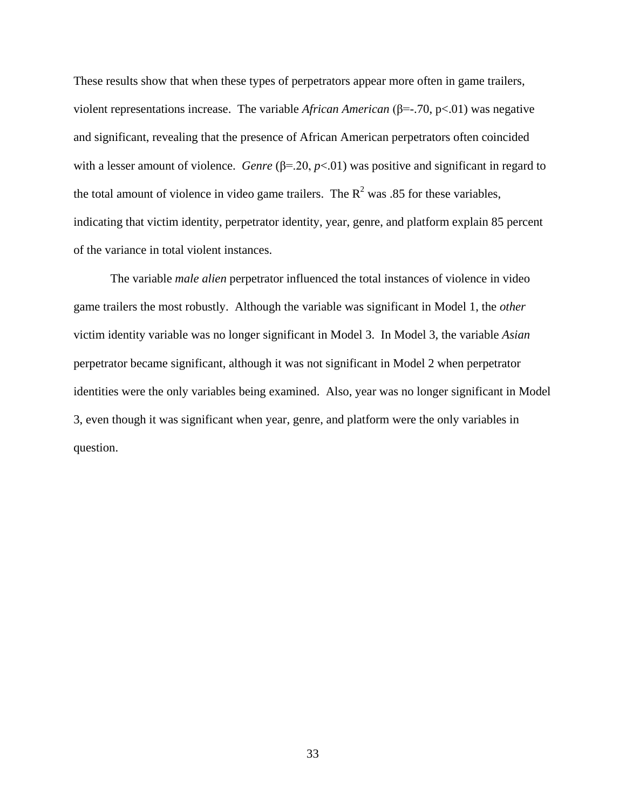These results show that when these types of perpetrators appear more often in game trailers, violent representations increase. The variable *African American* (β=-.70, p<.01) was negative and significant, revealing that the presence of African American perpetrators often coincided with a lesser amount of violence. *Genre* (β=.20, *p*<.01) was positive and significant in regard to the total amount of violence in video game trailers. The  $R^2$  was .85 for these variables, indicating that victim identity, perpetrator identity, year, genre, and platform explain 85 percent of the variance in total violent instances.

The variable *male alien* perpetrator influenced the total instances of violence in video game trailers the most robustly. Although the variable was significant in Model 1, the *other* victim identity variable was no longer significant in Model 3. In Model 3, the variable *Asian*  perpetrator became significant, although it was not significant in Model 2 when perpetrator identities were the only variables being examined. Also, year was no longer significant in Model 3, even though it was significant when year, genre, and platform were the only variables in question.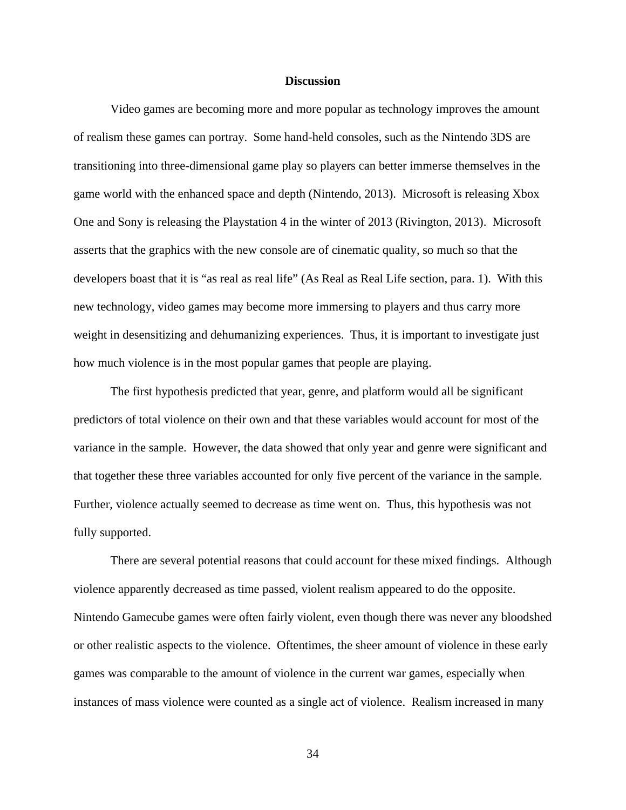#### **Discussion**

Video games are becoming more and more popular as technology improves the amount of realism these games can portray. Some hand-held consoles, such as the Nintendo 3DS are transitioning into three-dimensional game play so players can better immerse themselves in the game world with the enhanced space and depth (Nintendo, 2013). Microsoft is releasing Xbox One and Sony is releasing the Playstation 4 in the winter of 2013 (Rivington, 2013). Microsoft asserts that the graphics with the new console are of cinematic quality, so much so that the developers boast that it is "as real as real life" (As Real as Real Life section, para. 1). With this new technology, video games may become more immersing to players and thus carry more weight in desensitizing and dehumanizing experiences. Thus, it is important to investigate just how much violence is in the most popular games that people are playing.

The first hypothesis predicted that year, genre, and platform would all be significant predictors of total violence on their own and that these variables would account for most of the variance in the sample. However, the data showed that only year and genre were significant and that together these three variables accounted for only five percent of the variance in the sample. Further, violence actually seemed to decrease as time went on. Thus, this hypothesis was not fully supported.

There are several potential reasons that could account for these mixed findings. Although violence apparently decreased as time passed, violent realism appeared to do the opposite. Nintendo Gamecube games were often fairly violent, even though there was never any bloodshed or other realistic aspects to the violence. Oftentimes, the sheer amount of violence in these early games was comparable to the amount of violence in the current war games, especially when instances of mass violence were counted as a single act of violence. Realism increased in many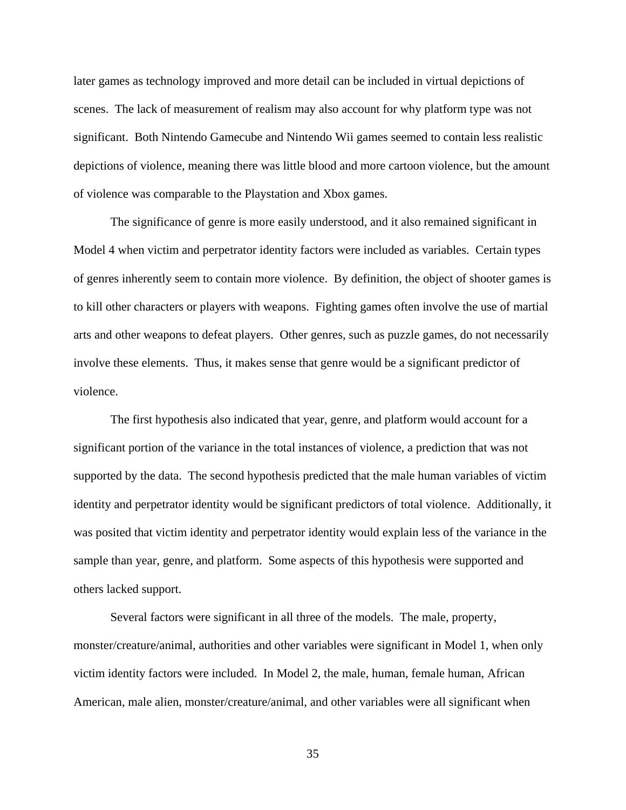later games as technology improved and more detail can be included in virtual depictions of scenes. The lack of measurement of realism may also account for why platform type was not significant. Both Nintendo Gamecube and Nintendo Wii games seemed to contain less realistic depictions of violence, meaning there was little blood and more cartoon violence, but the amount of violence was comparable to the Playstation and Xbox games.

The significance of genre is more easily understood, and it also remained significant in Model 4 when victim and perpetrator identity factors were included as variables. Certain types of genres inherently seem to contain more violence. By definition, the object of shooter games is to kill other characters or players with weapons. Fighting games often involve the use of martial arts and other weapons to defeat players. Other genres, such as puzzle games, do not necessarily involve these elements. Thus, it makes sense that genre would be a significant predictor of violence.

The first hypothesis also indicated that year, genre, and platform would account for a significant portion of the variance in the total instances of violence, a prediction that was not supported by the data. The second hypothesis predicted that the male human variables of victim identity and perpetrator identity would be significant predictors of total violence. Additionally, it was posited that victim identity and perpetrator identity would explain less of the variance in the sample than year, genre, and platform. Some aspects of this hypothesis were supported and others lacked support.

Several factors were significant in all three of the models. The male, property, monster/creature/animal, authorities and other variables were significant in Model 1, when only victim identity factors were included. In Model 2, the male, human, female human, African American, male alien, monster/creature/animal, and other variables were all significant when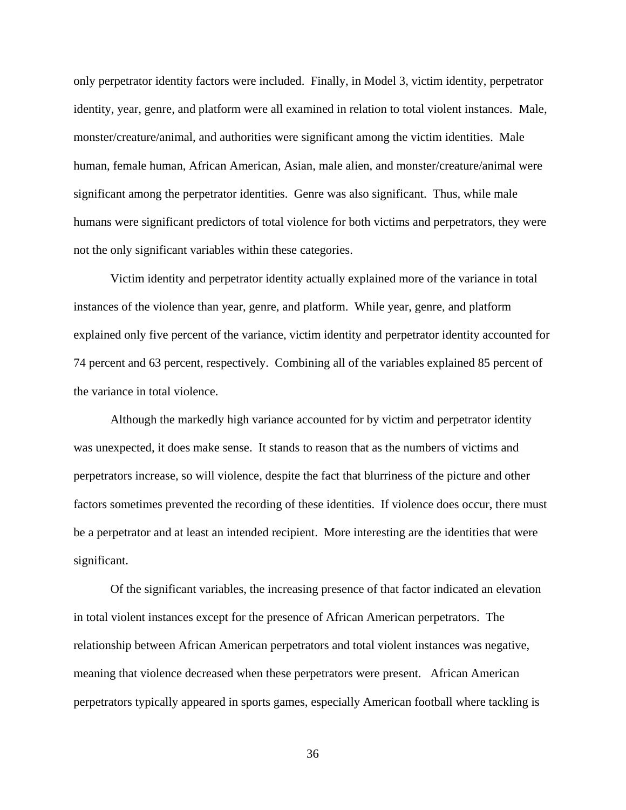only perpetrator identity factors were included. Finally, in Model 3, victim identity, perpetrator identity, year, genre, and platform were all examined in relation to total violent instances. Male, monster/creature/animal, and authorities were significant among the victim identities. Male human, female human, African American, Asian, male alien, and monster/creature/animal were significant among the perpetrator identities. Genre was also significant. Thus, while male humans were significant predictors of total violence for both victims and perpetrators, they were not the only significant variables within these categories.

Victim identity and perpetrator identity actually explained more of the variance in total instances of the violence than year, genre, and platform. While year, genre, and platform explained only five percent of the variance, victim identity and perpetrator identity accounted for 74 percent and 63 percent, respectively. Combining all of the variables explained 85 percent of the variance in total violence.

Although the markedly high variance accounted for by victim and perpetrator identity was unexpected, it does make sense. It stands to reason that as the numbers of victims and perpetrators increase, so will violence, despite the fact that blurriness of the picture and other factors sometimes prevented the recording of these identities. If violence does occur, there must be a perpetrator and at least an intended recipient. More interesting are the identities that were significant.

Of the significant variables, the increasing presence of that factor indicated an elevation in total violent instances except for the presence of African American perpetrators. The relationship between African American perpetrators and total violent instances was negative, meaning that violence decreased when these perpetrators were present. African American perpetrators typically appeared in sports games, especially American football where tackling is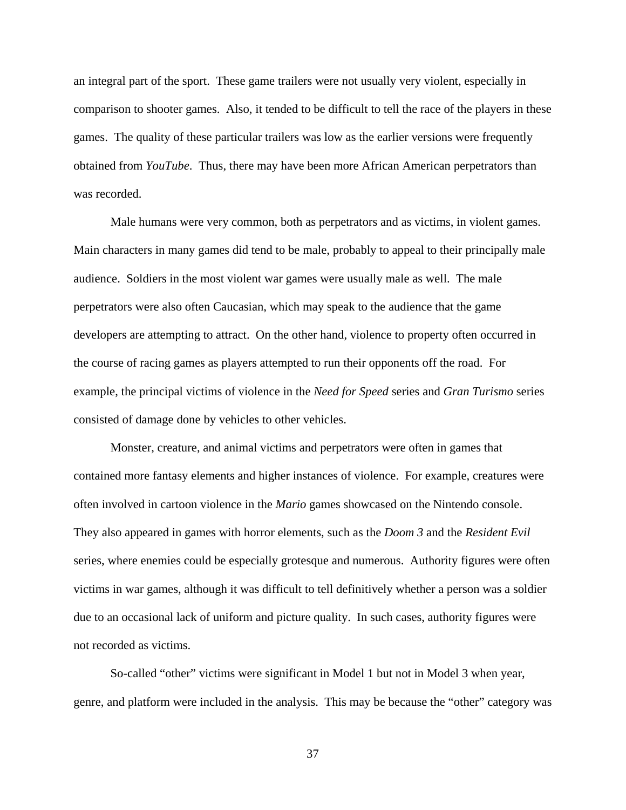an integral part of the sport. These game trailers were not usually very violent, especially in comparison to shooter games. Also, it tended to be difficult to tell the race of the players in these games. The quality of these particular trailers was low as the earlier versions were frequently obtained from *YouTube*. Thus, there may have been more African American perpetrators than was recorded.

Male humans were very common, both as perpetrators and as victims, in violent games. Main characters in many games did tend to be male, probably to appeal to their principally male audience. Soldiers in the most violent war games were usually male as well. The male perpetrators were also often Caucasian, which may speak to the audience that the game developers are attempting to attract. On the other hand, violence to property often occurred in the course of racing games as players attempted to run their opponents off the road. For example, the principal victims of violence in the *Need for Speed* series and *Gran Turismo* series consisted of damage done by vehicles to other vehicles.

Monster, creature, and animal victims and perpetrators were often in games that contained more fantasy elements and higher instances of violence. For example, creatures were often involved in cartoon violence in the *Mario* games showcased on the Nintendo console. They also appeared in games with horror elements, such as the *Doom 3* and the *Resident Evil*  series, where enemies could be especially grotesque and numerous. Authority figures were often victims in war games, although it was difficult to tell definitively whether a person was a soldier due to an occasional lack of uniform and picture quality. In such cases, authority figures were not recorded as victims.

So-called "other" victims were significant in Model 1 but not in Model 3 when year, genre, and platform were included in the analysis. This may be because the "other" category was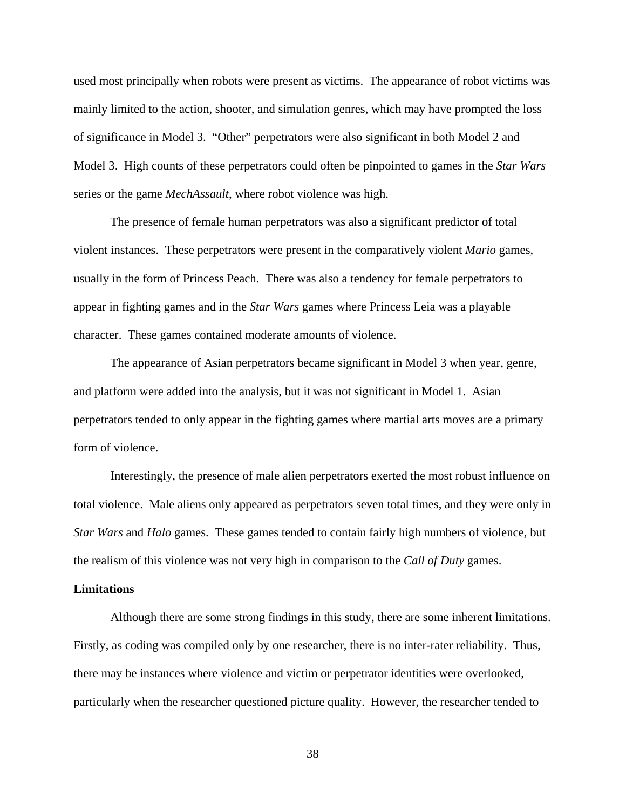used most principally when robots were present as victims. The appearance of robot victims was mainly limited to the action, shooter, and simulation genres, which may have prompted the loss of significance in Model 3. "Other" perpetrators were also significant in both Model 2 and Model 3. High counts of these perpetrators could often be pinpointed to games in the *Star Wars* series or the game *MechAssault*, where robot violence was high.

The presence of female human perpetrators was also a significant predictor of total violent instances. These perpetrators were present in the comparatively violent *Mario* games, usually in the form of Princess Peach. There was also a tendency for female perpetrators to appear in fighting games and in the *Star Wars* games where Princess Leia was a playable character. These games contained moderate amounts of violence.

The appearance of Asian perpetrators became significant in Model 3 when year, genre, and platform were added into the analysis, but it was not significant in Model 1. Asian perpetrators tended to only appear in the fighting games where martial arts moves are a primary form of violence.

Interestingly, the presence of male alien perpetrators exerted the most robust influence on total violence. Male aliens only appeared as perpetrators seven total times, and they were only in *Star Wars* and *Halo* games. These games tended to contain fairly high numbers of violence, but the realism of this violence was not very high in comparison to the *Call of Duty* games.

#### **Limitations**

Although there are some strong findings in this study, there are some inherent limitations. Firstly, as coding was compiled only by one researcher, there is no inter-rater reliability. Thus, there may be instances where violence and victim or perpetrator identities were overlooked, particularly when the researcher questioned picture quality. However, the researcher tended to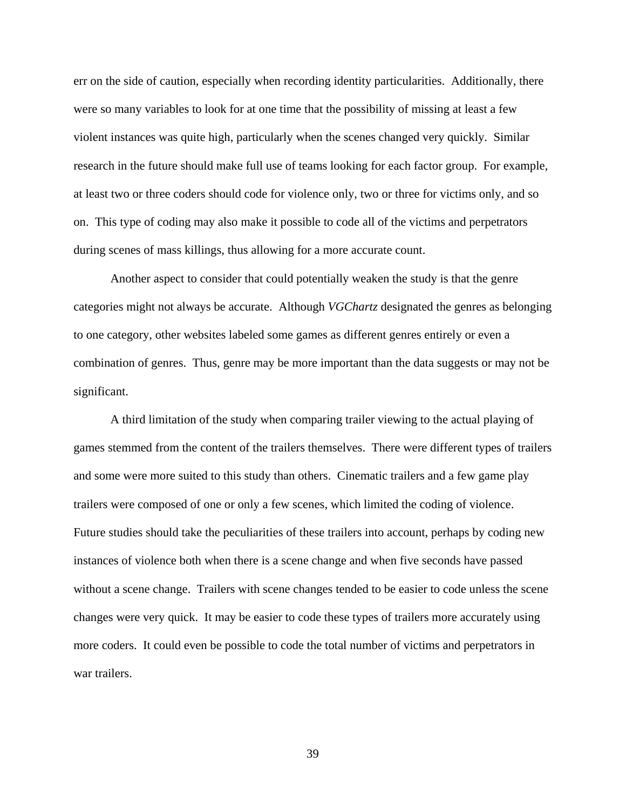err on the side of caution, especially when recording identity particularities. Additionally, there were so many variables to look for at one time that the possibility of missing at least a few violent instances was quite high, particularly when the scenes changed very quickly. Similar research in the future should make full use of teams looking for each factor group. For example, at least two or three coders should code for violence only, two or three for victims only, and so on. This type of coding may also make it possible to code all of the victims and perpetrators during scenes of mass killings, thus allowing for a more accurate count.

Another aspect to consider that could potentially weaken the study is that the genre categories might not always be accurate. Although *VGChartz* designated the genres as belonging to one category, other websites labeled some games as different genres entirely or even a combination of genres. Thus, genre may be more important than the data suggests or may not be significant.

A third limitation of the study when comparing trailer viewing to the actual playing of games stemmed from the content of the trailers themselves. There were different types of trailers and some were more suited to this study than others. Cinematic trailers and a few game play trailers were composed of one or only a few scenes, which limited the coding of violence. Future studies should take the peculiarities of these trailers into account, perhaps by coding new instances of violence both when there is a scene change and when five seconds have passed without a scene change. Trailers with scene changes tended to be easier to code unless the scene changes were very quick. It may be easier to code these types of trailers more accurately using more coders. It could even be possible to code the total number of victims and perpetrators in war trailers.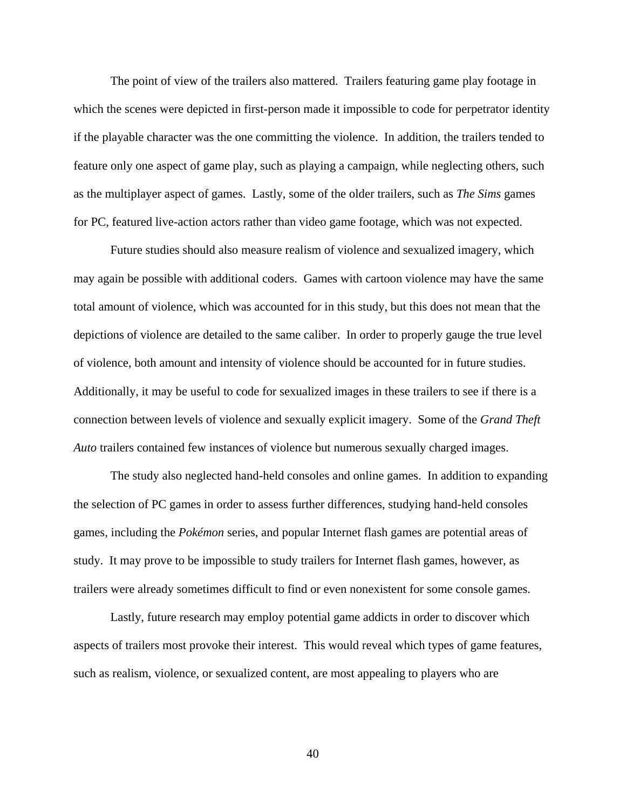The point of view of the trailers also mattered. Trailers featuring game play footage in which the scenes were depicted in first-person made it impossible to code for perpetrator identity if the playable character was the one committing the violence. In addition, the trailers tended to feature only one aspect of game play, such as playing a campaign, while neglecting others, such as the multiplayer aspect of games. Lastly, some of the older trailers, such as *The Sims* games for PC, featured live-action actors rather than video game footage, which was not expected.

Future studies should also measure realism of violence and sexualized imagery, which may again be possible with additional coders. Games with cartoon violence may have the same total amount of violence, which was accounted for in this study, but this does not mean that the depictions of violence are detailed to the same caliber. In order to properly gauge the true level of violence, both amount and intensity of violence should be accounted for in future studies. Additionally, it may be useful to code for sexualized images in these trailers to see if there is a connection between levels of violence and sexually explicit imagery. Some of the *Grand Theft Auto* trailers contained few instances of violence but numerous sexually charged images.

The study also neglected hand-held consoles and online games. In addition to expanding the selection of PC games in order to assess further differences, studying hand-held consoles games, including the *Pokémon* series, and popular Internet flash games are potential areas of study. It may prove to be impossible to study trailers for Internet flash games, however, as trailers were already sometimes difficult to find or even nonexistent for some console games.

Lastly, future research may employ potential game addicts in order to discover which aspects of trailers most provoke their interest. This would reveal which types of game features, such as realism, violence, or sexualized content, are most appealing to players who are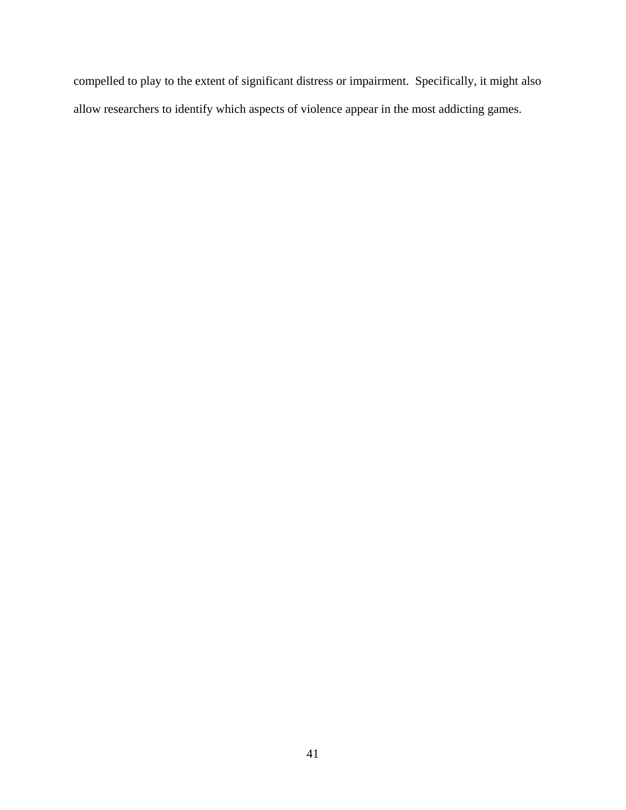compelled to play to the extent of significant distress or impairment. Specifically, it might also allow researchers to identify which aspects of violence appear in the most addicting games.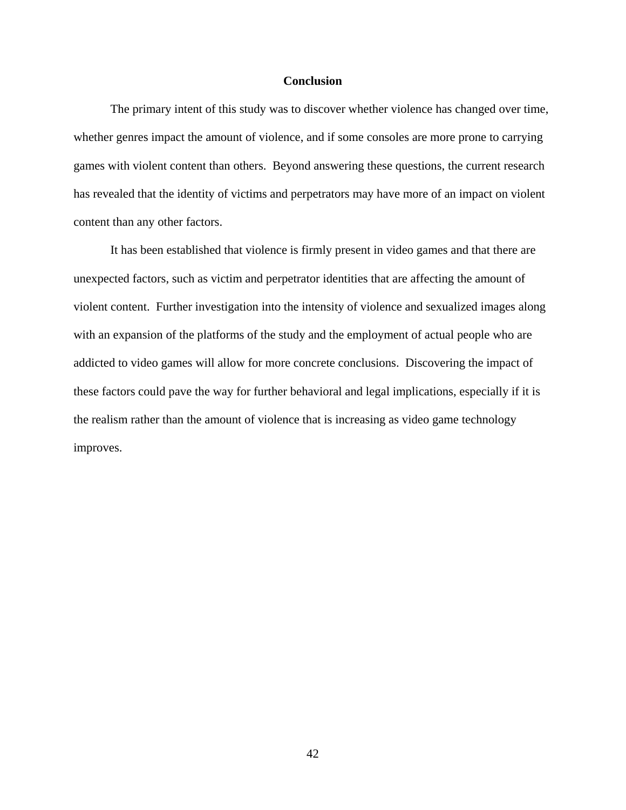# **Conclusion**

The primary intent of this study was to discover whether violence has changed over time, whether genres impact the amount of violence, and if some consoles are more prone to carrying games with violent content than others. Beyond answering these questions, the current research has revealed that the identity of victims and perpetrators may have more of an impact on violent content than any other factors.

It has been established that violence is firmly present in video games and that there are unexpected factors, such as victim and perpetrator identities that are affecting the amount of violent content. Further investigation into the intensity of violence and sexualized images along with an expansion of the platforms of the study and the employment of actual people who are addicted to video games will allow for more concrete conclusions. Discovering the impact of these factors could pave the way for further behavioral and legal implications, especially if it is the realism rather than the amount of violence that is increasing as video game technology improves.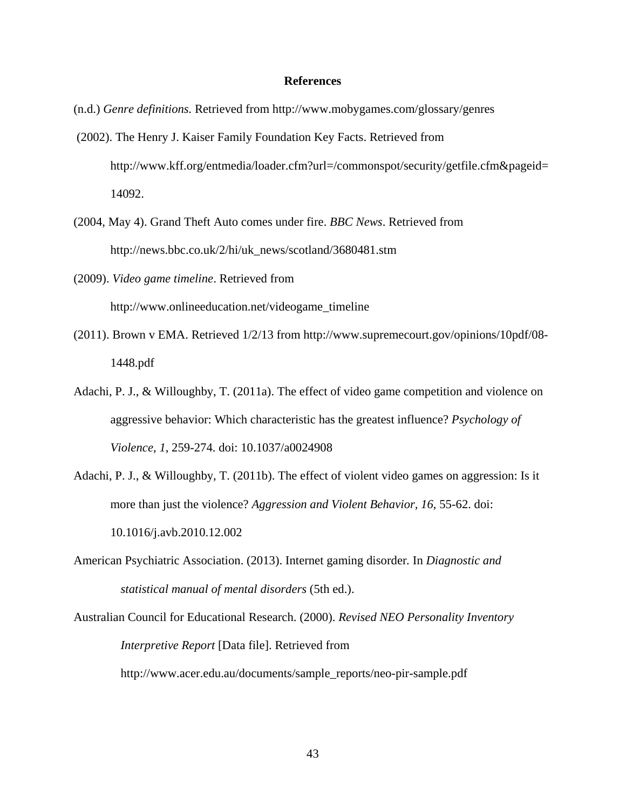#### **References**

- (n.d.) *Genre definitions.* Retrieved from http://www.mobygames.com/glossary/genres
- (2002). The Henry J. Kaiser Family Foundation Key Facts. Retrieved from http://www.kff.org/entmedia/loader.cfm?url=/commonspot/security/getfile.cfm&pageid= 14092.
- (2004, May 4). Grand Theft Auto comes under fire. *BBC News*. Retrieved from http://news.bbc.co.uk/2/hi/uk\_news/scotland/3680481.stm
- (2009). *Video game timeline*. Retrieved from http://www.onlineeducation.net/videogame\_timeline
- (2011). Brown v EMA. Retrieved 1/2/13 from http://www.supremecourt.gov/opinions/10pdf/08- 1448.pdf
- Adachi, P. J., & Willoughby, T. (2011a). The effect of video game competition and violence on aggressive behavior: Which characteristic has the greatest influence? *Psychology of Violence, 1*, 259-274. doi: 10.1037/a0024908
- Adachi, P. J., & Willoughby, T. (2011b). The effect of violent video games on aggression: Is it more than just the violence? *Aggression and Violent Behavior, 16*, 55-62. doi: 10.1016/j.avb.2010.12.002
- American Psychiatric Association. (2013). Internet gaming disorder*.* In *Diagnostic and statistical manual of mental disorders* (5th ed.).
- Australian Council for Educational Research. (2000). *Revised NEO Personality Inventory Interpretive Report* [Data file]. Retrieved from http://www.acer.edu.au/documents/sample\_reports/neo-pir-sample.pdf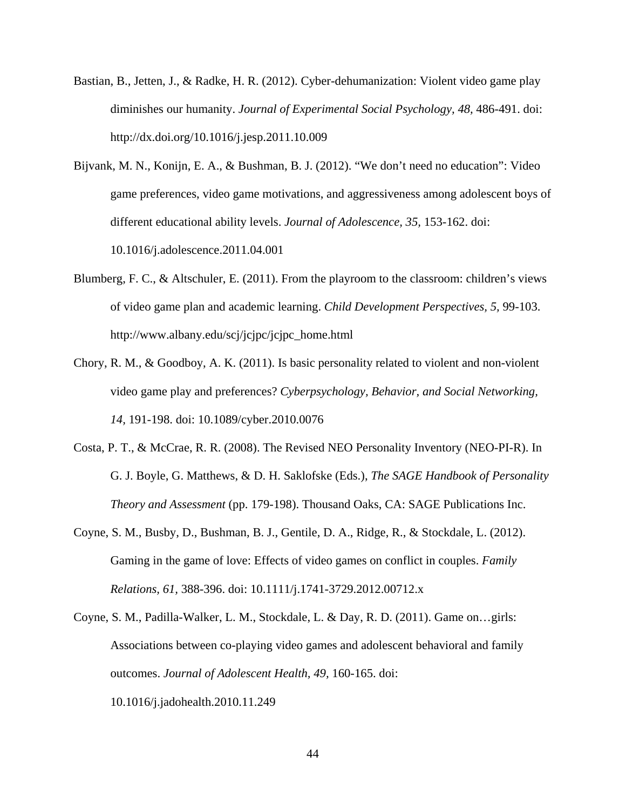- Bastian, B., Jetten, J., & Radke, H. R. (2012). Cyber-dehumanization: Violent video game play diminishes our humanity. *Journal of Experimental Social Psychology, 48,* 486-491. doi: http://dx.doi.org/10.1016/j.jesp.2011.10.009
- Bijvank, M. N., Konijn, E. A., & Bushman, B. J. (2012). "We don't need no education": Video game preferences, video game motivations, and aggressiveness among adolescent boys of different educational ability levels. *Journal of Adolescence, 35,* 153-162. doi: 10.1016/j.adolescence.2011.04.001
- Blumberg, F. C., & Altschuler, E. (2011). From the playroom to the classroom: children's views of video game plan and academic learning. *Child Development Perspectives, 5,* 99-103. http://www.albany.edu/scj/jcjpc/jcjpc\_home.html
- Chory, R. M., & Goodboy, A. K. (2011). Is basic personality related to violent and non-violent video game play and preferences? *Cyberpsychology, Behavior, and Social Networking, 14,* 191-198. doi: 10.1089/cyber.2010.0076
- Costa, P. T., & McCrae, R. R. (2008). The Revised NEO Personality Inventory (NEO-PI-R). In G. J. Boyle, G. Matthews, & D. H. Saklofske (Eds.), *The SAGE Handbook of Personality Theory and Assessment* (pp. 179-198). Thousand Oaks, CA: SAGE Publications Inc.
- Coyne, S. M., Busby, D., Bushman, B. J., Gentile, D. A., Ridge, R., & Stockdale, L. (2012). Gaming in the game of love: Effects of video games on conflict in couples. *Family Relations, 61,* 388-396. doi: 10.1111/j.1741-3729.2012.00712.x
- Coyne, S. M., Padilla-Walker, L. M., Stockdale, L. & Day, R. D. (2011). Game on…girls: Associations between co-playing video games and adolescent behavioral and family outcomes. *Journal of Adolescent Health, 49,* 160-165. doi: 10.1016/j.jadohealth.2010.11.249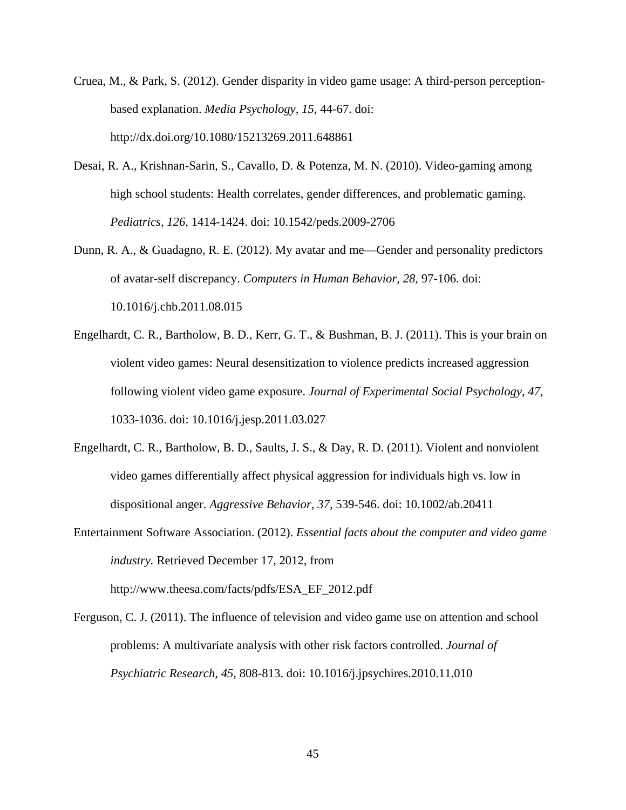- Cruea, M., & Park, S. (2012). Gender disparity in video game usage: A third-person perceptionbased explanation. *Media Psychology, 15*, 44-67. doi: http://dx.doi.org/10.1080/15213269.2011.648861
- Desai, R. A., Krishnan-Sarin, S., Cavallo, D. & Potenza, M. N. (2010). Video-gaming among high school students: Health correlates, gender differences, and problematic gaming. *Pediatrics, 126,* 1414-1424. doi: 10.1542/peds.2009-2706
- Dunn, R. A., & Guadagno, R. E. (2012). My avatar and me—Gender and personality predictors of avatar-self discrepancy. *Computers in Human Behavior, 28,* 97-106. doi: 10.1016/j.chb.2011.08.015
- Engelhardt, C. R., Bartholow, B. D., Kerr, G. T., & Bushman, B. J. (2011). This is your brain on violent video games: Neural desensitization to violence predicts increased aggression following violent video game exposure. *Journal of Experimental Social Psychology, 47,* 1033-1036. doi: 10.1016/j.jesp.2011.03.027
- Engelhardt, C. R., Bartholow, B. D., Saults, J. S., & Day, R. D. (2011). Violent and nonviolent video games differentially affect physical aggression for individuals high vs. low in dispositional anger. *Aggressive Behavior, 37,* 539-546. doi: 10.1002/ab.20411
- Entertainment Software Association. (2012). *Essential facts about the computer and video game industry.* Retrieved December 17, 2012, from http://www.theesa.com/facts/pdfs/ESA\_EF\_2012.pdf
- Ferguson, C. J. (2011). The influence of television and video game use on attention and school problems: A multivariate analysis with other risk factors controlled. *Journal of Psychiatric Research, 45,* 808-813. doi: 10.1016/j.jpsychires.2010.11.010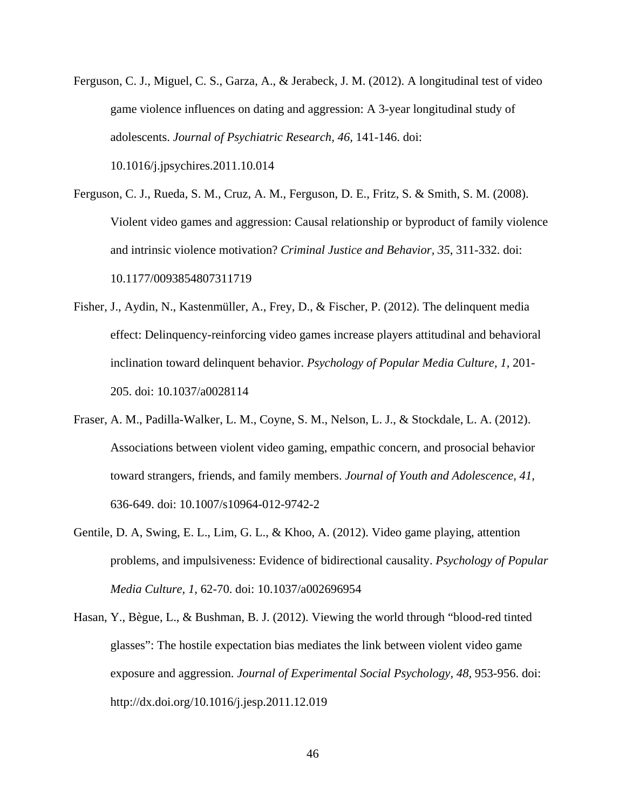- Ferguson, C. J., Miguel, C. S., Garza, A., & Jerabeck, J. M. (2012). A longitudinal test of video game violence influences on dating and aggression: A 3-year longitudinal study of adolescents. *Journal of Psychiatric Research, 46,* 141-146. doi: 10.1016/j.jpsychires.2011.10.014
- Ferguson, C. J., Rueda, S. M., Cruz, A. M., Ferguson, D. E., Fritz, S. & Smith, S. M. (2008). Violent video games and aggression: Causal relationship or byproduct of family violence and intrinsic violence motivation? *Criminal Justice and Behavior, 35*, 311-332. doi: 10.1177/0093854807311719
- Fisher, J., Aydin, N., Kastenmüller, A., Frey, D., & Fischer, P. (2012). The delinquent media effect: Delinquency-reinforcing video games increase players attitudinal and behavioral inclination toward delinquent behavior. *Psychology of Popular Media Culture, 1,* 201- 205. doi: 10.1037/a0028114
- Fraser, A. M., Padilla-Walker, L. M., Coyne, S. M., Nelson, L. J., & Stockdale, L. A. (2012). Associations between violent video gaming, empathic concern, and prosocial behavior toward strangers, friends, and family members. *Journal of Youth and Adolescence, 41,* 636-649. doi: 10.1007/s10964-012-9742-2
- Gentile, D. A, Swing, E. L., Lim, G. L., & Khoo, A. (2012). Video game playing, attention problems, and impulsiveness: Evidence of bidirectional causality. *Psychology of Popular Media Culture, 1,* 62-70. doi: 10.1037/a002696954
- Hasan, Y., Bègue, L., & Bushman, B. J. (2012). Viewing the world through "blood-red tinted glasses": The hostile expectation bias mediates the link between violent video game exposure and aggression. *Journal of Experimental Social Psychology, 48,* 953-956. doi: http://dx.doi.org/10.1016/j.jesp.2011.12.019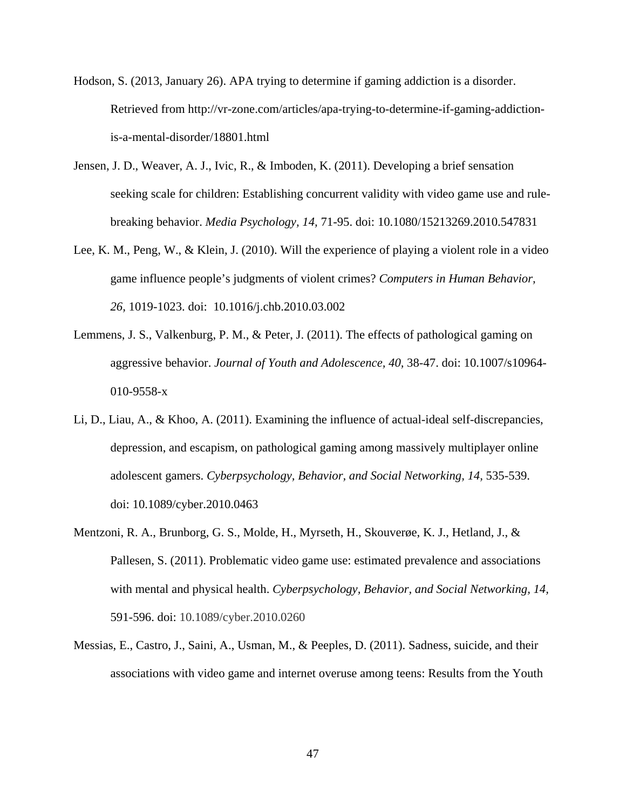- Hodson, S. (2013, January 26). APA trying to determine if gaming addiction is a disorder. Retrieved from http://vr-zone.com/articles/apa-trying-to-determine-if-gaming-addictionis-a-mental-disorder/18801.html
- Jensen, J. D., Weaver, A. J., Ivic, R., & Imboden, K. (2011). Developing a brief sensation seeking scale for children: Establishing concurrent validity with video game use and rulebreaking behavior. *Media Psychology, 14,* 71-95. doi: 10.1080/15213269.2010.547831
- Lee, K. M., Peng, W., & Klein, J. (2010). Will the experience of playing a violent role in a video game influence people's judgments of violent crimes? *Computers in Human Behavior, 26,* 1019-1023. doi: 10.1016/j.chb.2010.03.002
- Lemmens, J. S., Valkenburg, P. M., & Peter, J. (2011). The effects of pathological gaming on aggressive behavior. *Journal of Youth and Adolescence, 40,* 38-47. doi: 10.1007/s10964- 010-9558-x
- Li, D., Liau, A., & Khoo, A. (2011). Examining the influence of actual-ideal self-discrepancies, depression, and escapism, on pathological gaming among massively multiplayer online adolescent gamers. *Cyberpsychology, Behavior, and Social Networking, 14,* 535-539. doi: 10.1089/cyber.2010.0463
- Mentzoni, R. A., Brunborg, G. S., Molde, H., Myrseth, H., Skouverøe, K. J., Hetland, J., & Pallesen, S. (2011). Problematic video game use: estimated prevalence and associations with mental and physical health. *Cyberpsychology, Behavior, and Social Networking, 14,* 591-596. doi: 10.1089/cyber.2010.0260
- Messias, E., Castro, J., Saini, A., Usman, M., & Peeples, D. (2011). Sadness, suicide, and their associations with video game and internet overuse among teens: Results from the Youth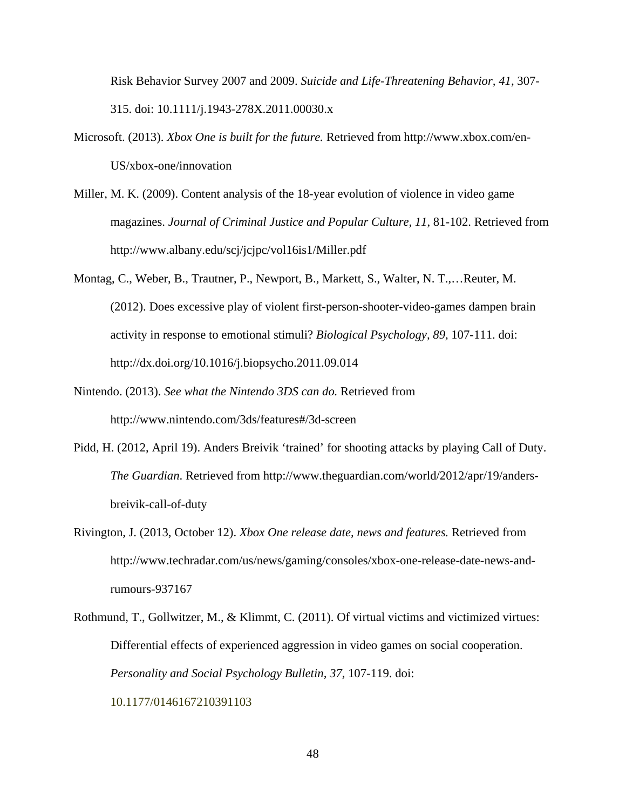Risk Behavior Survey 2007 and 2009. *Suicide and Life-Threatening Behavior, 41,* 307- 315. doi: 10.1111/j.1943-278X.2011.00030.x

- Microsoft. (2013). *Xbox One is built for the future.* Retrieved from http://www.xbox.com/en-US/xbox-one/innovation
- Miller, M. K. (2009). Content analysis of the 18-year evolution of violence in video game magazines. *Journal of Criminal Justice and Popular Culture, 11*, 81-102. Retrieved from http://www.albany.edu/scj/jcjpc/vol16is1/Miller.pdf
- Montag, C., Weber, B., Trautner, P., Newport, B., Markett, S., Walter, N. T.,…Reuter, M. (2012). Does excessive play of violent first-person-shooter-video-games dampen brain activity in response to emotional stimuli? *Biological Psychology, 89,* 107-111. doi: http://dx.doi.org/10.1016/j.biopsycho.2011.09.014
- Nintendo. (2013). *See what the Nintendo 3DS can do.* Retrieved from http://www.nintendo.com/3ds/features#/3d-screen
- Pidd, H. (2012, April 19). Anders Breivik 'trained' for shooting attacks by playing Call of Duty. *The Guardian*. Retrieved from http://www.theguardian.com/world/2012/apr/19/andersbreivik-call-of-duty
- Rivington, J. (2013, October 12). *Xbox One release date, news and features.* Retrieved from http://www.techradar.com/us/news/gaming/consoles/xbox-one-release-date-news-andrumours-937167
- Rothmund, T., Gollwitzer, M., & Klimmt, C. (2011). Of virtual victims and victimized virtues: Differential effects of experienced aggression in video games on social cooperation. *Personality and Social Psychology Bulletin, 37,* 107-119. doi: 10.1177/0146167210391103